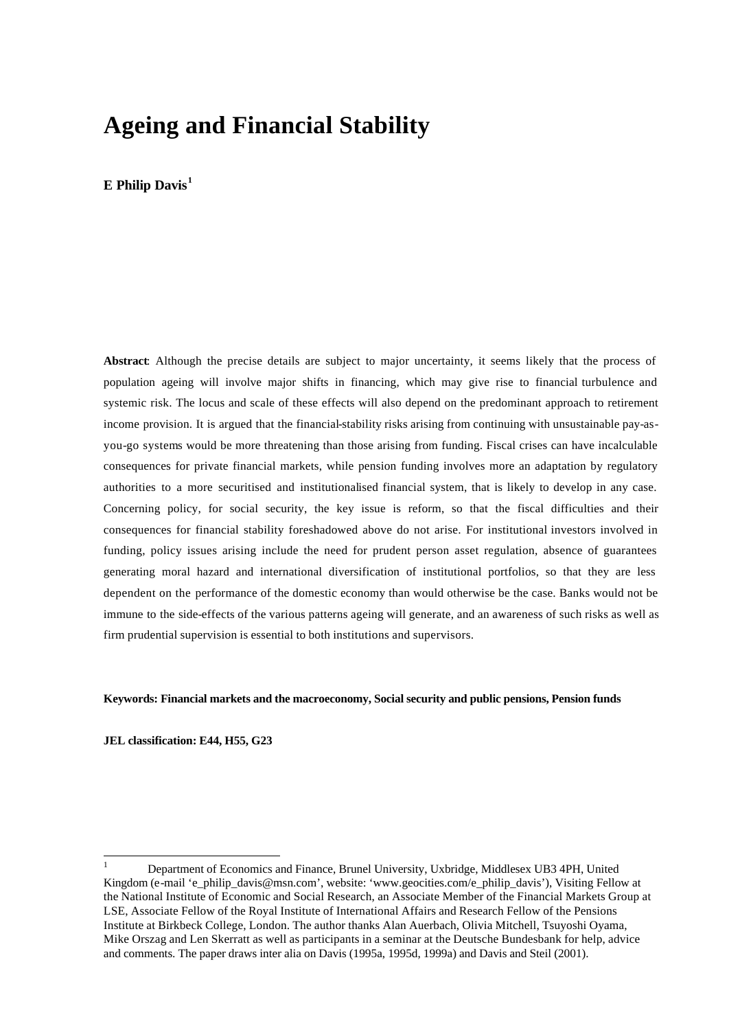# **Ageing and Financial Stability**

# **E Philip Davis<sup>1</sup>**

**Abstract**: Although the precise details are subject to major uncertainty, it seems likely that the process of population ageing will involve major shifts in financing, which may give rise to financial turbulence and systemic risk. The locus and scale of these effects will also depend on the predominant approach to retirement income provision. It is argued that the financial-stability risks arising from continuing with unsustainable pay-asyou-go systems would be more threatening than those arising from funding. Fiscal crises can have incalculable consequences for private financial markets, while pension funding involves more an adaptation by regulatory authorities to a more securitised and institutionalised financial system, that is likely to develop in any case. Concerning policy, for social security, the key issue is reform, so that the fiscal difficulties and their consequences for financial stability foreshadowed above do not arise. For institutional investors involved in funding, policy issues arising include the need for prudent person asset regulation, absence of guarantees generating moral hazard and international diversification of institutional portfolios, so that they are less dependent on the performance of the domestic economy than would otherwise be the case. Banks would not be immune to the side-effects of the various patterns ageing will generate, and an awareness of such risks as well as firm prudential supervision is essential to both institutions and supervisors.

#### **Keywords: Financial markets and the macroeconomy, Social security and public pensions, Pension funds**

**JEL classification: E44, H55, G23**

l

<sup>1</sup> Department of Economics and Finance, Brunel University, Uxbridge, Middlesex UB3 4PH, United Kingdom (e-mail 'e\_philip\_davis@msn.com', website: 'www.geocities.com/e\_philip\_davis'), Visiting Fellow at the National Institute of Economic and Social Research, an Associate Member of the Financial Markets Group at LSE, Associate Fellow of the Royal Institute of International Affairs and Research Fellow of the Pensions Institute at Birkbeck College, London. The author thanks Alan Auerbach, Olivia Mitchell, Tsuyoshi Oyama, Mike Orszag and Len Skerratt as well as participants in a seminar at the Deutsche Bundesbank for help, advice and comments. The paper draws inter alia on Davis (1995a, 1995d, 1999a) and Davis and Steil (2001).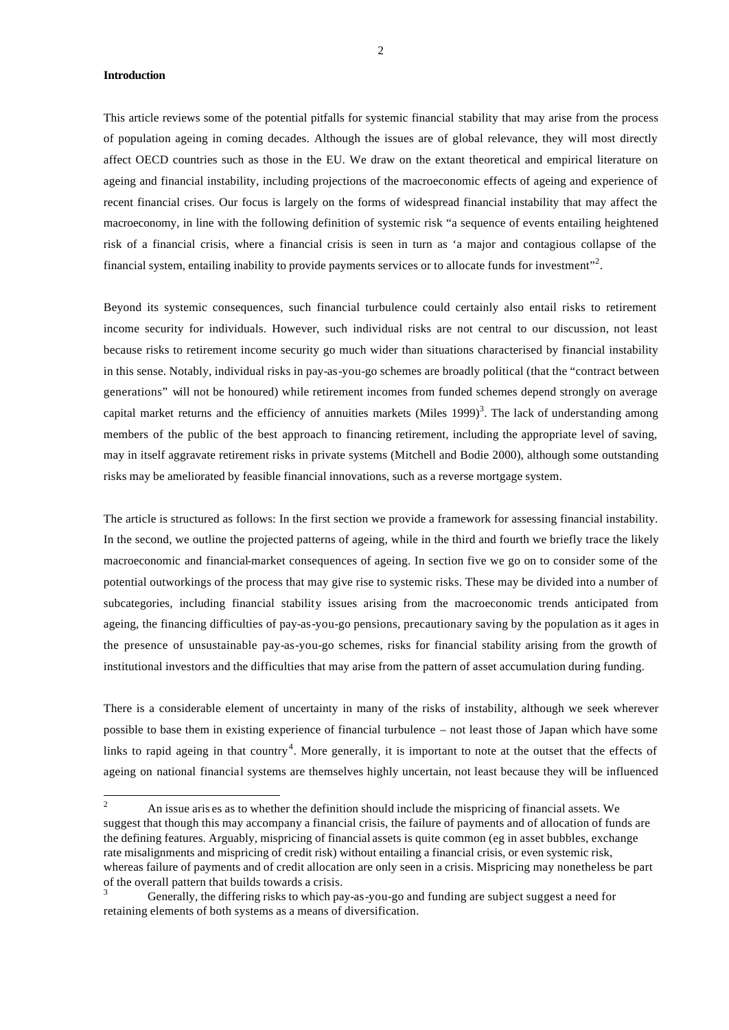#### **Introduction**

This article reviews some of the potential pitfalls for systemic financial stability that may arise from the process of population ageing in coming decades. Although the issues are of global relevance, they will most directly affect OECD countries such as those in the EU. We draw on the extant theoretical and empirical literature on ageing and financial instability, including projections of the macroeconomic effects of ageing and experience of recent financial crises. Our focus is largely on the forms of widespread financial instability that may affect the macroeconomy, in line with the following definition of systemic risk "a sequence of events entailing heightened risk of a financial crisis, where a financial crisis is seen in turn as 'a major and contagious collapse of the financial system, entailing inability to provide payments services or to allocate funds for investment".

Beyond its systemic consequences, such financial turbulence could certainly also entail risks to retirement income security for individuals. However, such individual risks are not central to our discussion, not least because risks to retirement income security go much wider than situations characterised by financial instability in this sense. Notably, individual risks in pay-as-you-go schemes are broadly political (that the "contract between generations" will not be honoured) while retirement incomes from funded schemes depend strongly on average capital market returns and the efficiency of annuities markets (Miles 1999)<sup>3</sup>. The lack of understanding among members of the public of the best approach to financing retirement, including the appropriate level of saving, may in itself aggravate retirement risks in private systems (Mitchell and Bodie 2000), although some outstanding risks may be ameliorated by feasible financial innovations, such as a reverse mortgage system.

The article is structured as follows: In the first section we provide a framework for assessing financial instability. In the second, we outline the projected patterns of ageing, while in the third and fourth we briefly trace the likely macroeconomic and financial-market consequences of ageing. In section five we go on to consider some of the potential outworkings of the process that may give rise to systemic risks. These may be divided into a number of subcategories, including financial stability issues arising from the macroeconomic trends anticipated from ageing, the financing difficulties of pay-as-you-go pensions, precautionary saving by the population as it ages in the presence of unsustainable pay-as-you-go schemes, risks for financial stability arising from the growth of institutional investors and the difficulties that may arise from the pattern of asset accumulation during funding.

There is a considerable element of uncertainty in many of the risks of instability, although we seek wherever possible to base them in existing experience of financial turbulence – not least those of Japan which have some links to rapid ageing in that country<sup>4</sup>. More generally, it is important to note at the outset that the effects of ageing on national financial systems are themselves highly uncertain, not least because they will be influenced

 $\mathfrak{Z}$ <sup>2</sup> An issue aris es as to whether the definition should include the mispricing of financial assets. We suggest that though this may accompany a financial crisis, the failure of payments and of allocation of funds are the defining features. Arguably, mispricing of financial assets is quite common (eg in asset bubbles, exchange rate misalignments and mispricing of credit risk) without entailing a financial crisis, or even systemic risk, whereas failure of payments and of credit allocation are only seen in a crisis. Mispricing may nonetheless be part of the overall pattern that builds towards a crisis.

<sup>3</sup> Generally, the differing risks to which pay-as-you-go and funding are subject suggest a need for retaining elements of both systems as a means of diversification.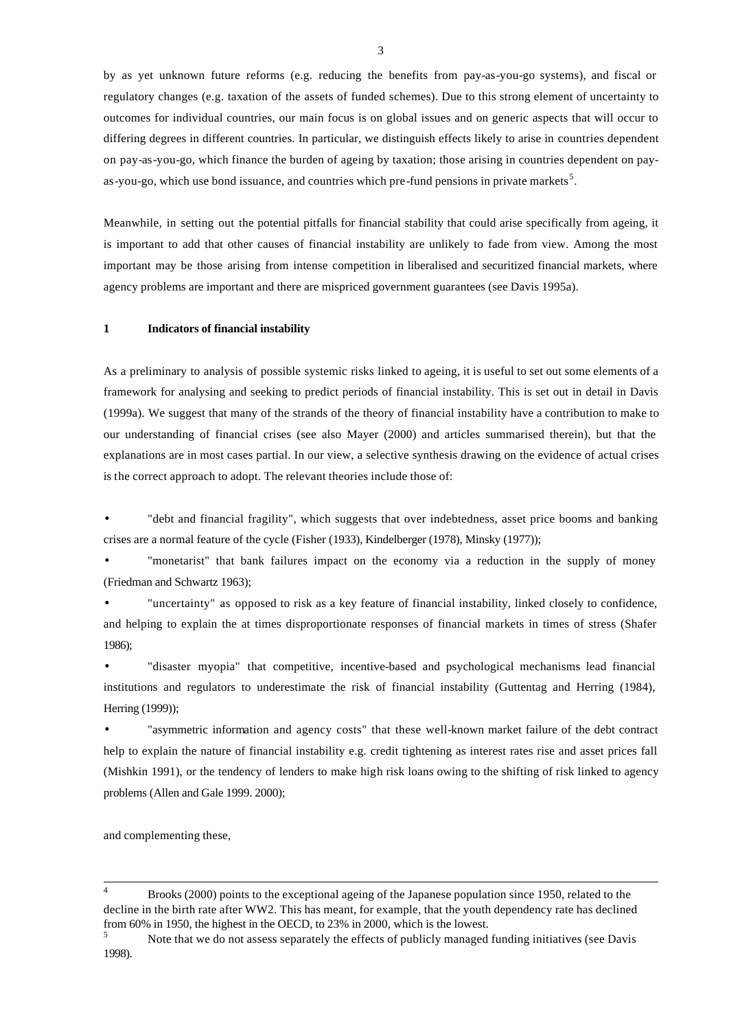by as yet unknown future reforms (e.g. reducing the benefits from pay-as-you-go systems), and fiscal or regulatory changes (e.g. taxation of the assets of funded schemes). Due to this strong element of uncertainty to outcomes for individual countries, our main focus is on global issues and on generic aspects that will occur to differing degrees in different countries. In particular, we distinguish effects likely to arise in countries dependent on pay-as-you-go, which finance the burden of ageing by taxation; those arising in countries dependent on payas-you-go, which use bond issuance, and countries which pre-fund pensions in private markets<sup>5</sup>.

Meanwhile, in setting out the potential pitfalls for financial stability that could arise specifically from ageing, it is important to add that other causes of financial instability are unlikely to fade from view. Among the most important may be those arising from intense competition in liberalised and securitized financial markets, where agency problems are important and there are mispriced government guarantees (see Davis 1995a).

#### **1 Indicators of financial instability**

As a preliminary to analysis of possible systemic risks linked to ageing, it is useful to set out some elements of a framework for analysing and seeking to predict periods of financial instability. This is set out in detail in Davis (1999a). We suggest that many of the strands of the theory of financial instability have a contribution to make to our understanding of financial crises (see also Mayer (2000) and articles summarised therein), but that the explanations are in most cases partial. In our view, a selective synthesis drawing on the evidence of actual crises is the correct approach to adopt. The relevant theories include those of:

• "debt and financial fragility", which suggests that over indebtedness, asset price booms and banking crises are a normal feature of the cycle (Fisher (1933), Kindelberger (1978), Minsky (1977));

"monetarist" that bank failures impact on the economy via a reduction in the supply of money (Friedman and Schwartz 1963);

• "uncertainty" as opposed to risk as a key feature of financial instability, linked closely to confidence, and helping to explain the at times disproportionate responses of financial markets in times of stress (Shafer 1986);

• "disaster myopia" that competitive, incentive-based and psychological mechanisms lead financial institutions and regulators to underestimate the risk of financial instability (Guttentag and Herring (1984), Herring (1999));

• "asymmetric information and agency costs" that these well-known market failure of the debt contract help to explain the nature of financial instability e.g. credit tightening as interest rates rise and asset prices fall (Mishkin 1991), or the tendency of lenders to make high risk loans owing to the shifting of risk linked to agency problems (Allen and Gale 1999. 2000);

and complementing these,

l

Brooks (2000) points to the exceptional ageing of the Japanese population since 1950, related to the decline in the birth rate after WW2. This has meant, for example, that the youth dependency rate has declined from 60% in 1950, the highest in the OECD, to 23% in 2000, which is the lowest.

<sup>5</sup> Note that we do not assess separately the effects of publicly managed funding initiatives (see Davis 1998).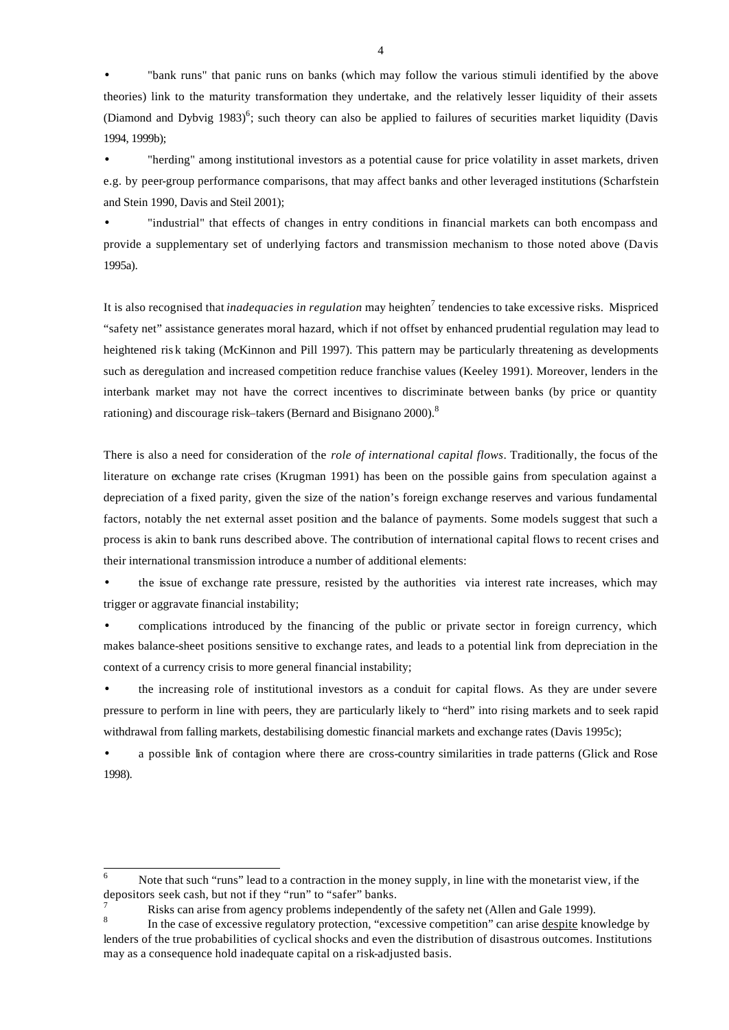• "bank runs" that panic runs on banks (which may follow the various stimuli identified by the above theories) link to the maturity transformation they undertake, and the relatively lesser liquidity of their assets (Diamond and Dybvig 1983)<sup>6</sup>; such theory can also be applied to failures of securities market liquidity (Davis 1994, 1999b);

• "herding" among institutional investors as a potential cause for price volatility in asset markets, driven e.g. by peer-group performance comparisons, that may affect banks and other leveraged institutions (Scharfstein and Stein 1990, Davis and Steil 2001);

• "industrial" that effects of changes in entry conditions in financial markets can both encompass and provide a supplementary set of underlying factors and transmission mechanism to those noted above (Davis 1995a).

It is also recognised that *inadequacies in regulation* may heighten<sup>7</sup> tendencies to take excessive risks. Mispriced "safety net" assistance generates moral hazard, which if not offset by enhanced prudential regulation may lead to heightened ris k taking (McKinnon and Pill 1997). This pattern may be particularly threatening as developments such as deregulation and increased competition reduce franchise values (Keeley 1991). Moreover, lenders in the interbank market may not have the correct incentives to discriminate between banks (by price or quantity rationing) and discourage risk–takers (Bernard and Bisignano 2000).<sup>8</sup>

There is also a need for consideration of the *role of international capital flows*. Traditionally, the focus of the literature on exchange rate crises (Krugman 1991) has been on the possible gains from speculation against a depreciation of a fixed parity, given the size of the nation's foreign exchange reserves and various fundamental factors, notably the net external asset position and the balance of payments. Some models suggest that such a process is akin to bank runs described above. The contribution of international capital flows to recent crises and their international transmission introduce a number of additional elements:

• the issue of exchange rate pressure, resisted by the authorities via interest rate increases, which may trigger or aggravate financial instability;

• complications introduced by the financing of the public or private sector in foreign currency, which makes balance-sheet positions sensitive to exchange rates, and leads to a potential link from depreciation in the context of a currency crisis to more general financial instability;

• the increasing role of institutional investors as a conduit for capital flows. As they are under severe pressure to perform in line with peers, they are particularly likely to "herd" into rising markets and to seek rapid withdrawal from falling markets, destabilising domestic financial markets and exchange rates (Davis 1995c);

• a possible link of contagion where there are cross-country similarities in trade patterns (Glick and Rose 1998).

l

 $\Delta$ 

Note that such "runs" lead to a contraction in the money supply, in line with the monetarist view, if the depositors seek cash, but not if they "run" to "safer" banks.

<sup>7</sup> Risks can arise from agency problems independently of the safety net (Allen and Gale 1999).

<sup>8</sup> In the case of excessive regulatory protection, "excessive competition" can arise despite knowledge by lenders of the true probabilities of cyclical shocks and even the distribution of disastrous outcomes. Institutions may as a consequence hold inadequate capital on a risk-adjusted basis.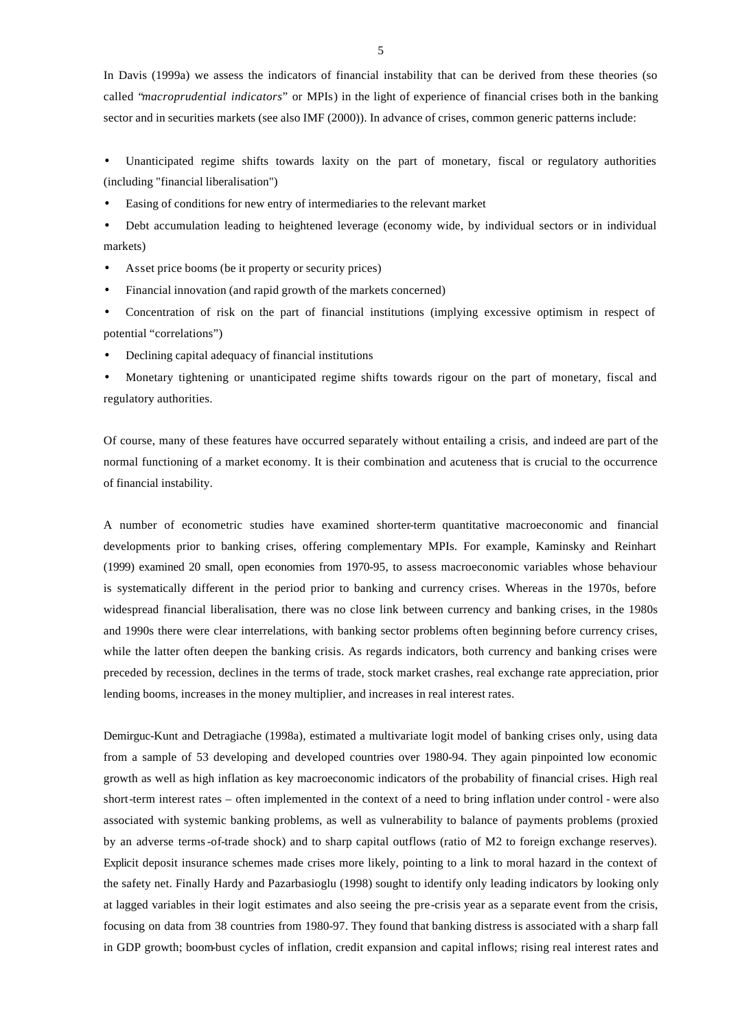In Davis (1999a) we assess the indicators of financial instability that can be derived from these theories (so called "*macroprudential indicators*" or MPIs) in the light of experience of financial crises both in the banking sector and in securities markets (see also IMF (2000)). In advance of crises, common generic patterns include:

• Unanticipated regime shifts towards laxity on the part of monetary, fiscal or regulatory authorities (including "financial liberalisation")

• Easing of conditions for new entry of intermediaries to the relevant market

• Debt accumulation leading to heightened leverage (economy wide, by individual sectors or in individual markets)

Asset price booms (be it property or security prices)

• Financial innovation (and rapid growth of the markets concerned)

• Concentration of risk on the part of financial institutions (implying excessive optimism in respect of potential "correlations")

• Declining capital adequacy of financial institutions

• Monetary tightening or unanticipated regime shifts towards rigour on the part of monetary, fiscal and regulatory authorities.

Of course, many of these features have occurred separately without entailing a crisis, and indeed are part of the normal functioning of a market economy. It is their combination and acuteness that is crucial to the occurrence of financial instability.

A number of econometric studies have examined shorter-term quantitative macroeconomic and financial developments prior to banking crises, offering complementary MPIs. For example, Kaminsky and Reinhart (1999) examined 20 small, open economies from 1970-95, to assess macroeconomic variables whose behaviour is systematically different in the period prior to banking and currency crises. Whereas in the 1970s, before widespread financial liberalisation, there was no close link between currency and banking crises, in the 1980s and 1990s there were clear interrelations, with banking sector problems often beginning before currency crises, while the latter often deepen the banking crisis. As regards indicators, both currency and banking crises were preceded by recession, declines in the terms of trade, stock market crashes, real exchange rate appreciation, prior lending booms, increases in the money multiplier, and increases in real interest rates.

Demirguc-Kunt and Detragiache (1998a), estimated a multivariate logit model of banking crises only, using data from a sample of 53 developing and developed countries over 1980-94. They again pinpointed low economic growth as well as high inflation as key macroeconomic indicators of the probability of financial crises. High real short-term interest rates – often implemented in the context of a need to bring inflation under control - were also associated with systemic banking problems, as well as vulnerability to balance of payments problems (proxied by an adverse terms-of-trade shock) and to sharp capital outflows (ratio of M2 to foreign exchange reserves). Explicit deposit insurance schemes made crises more likely, pointing to a link to moral hazard in the context of the safety net. Finally Hardy and Pazarbasioglu (1998) sought to identify only leading indicators by looking only at lagged variables in their logit estimates and also seeing the pre-crisis year as a separate event from the crisis, focusing on data from 38 countries from 1980-97. They found that banking distress is associated with a sharp fall in GDP growth; boom-bust cycles of inflation, credit expansion and capital inflows; rising real interest rates and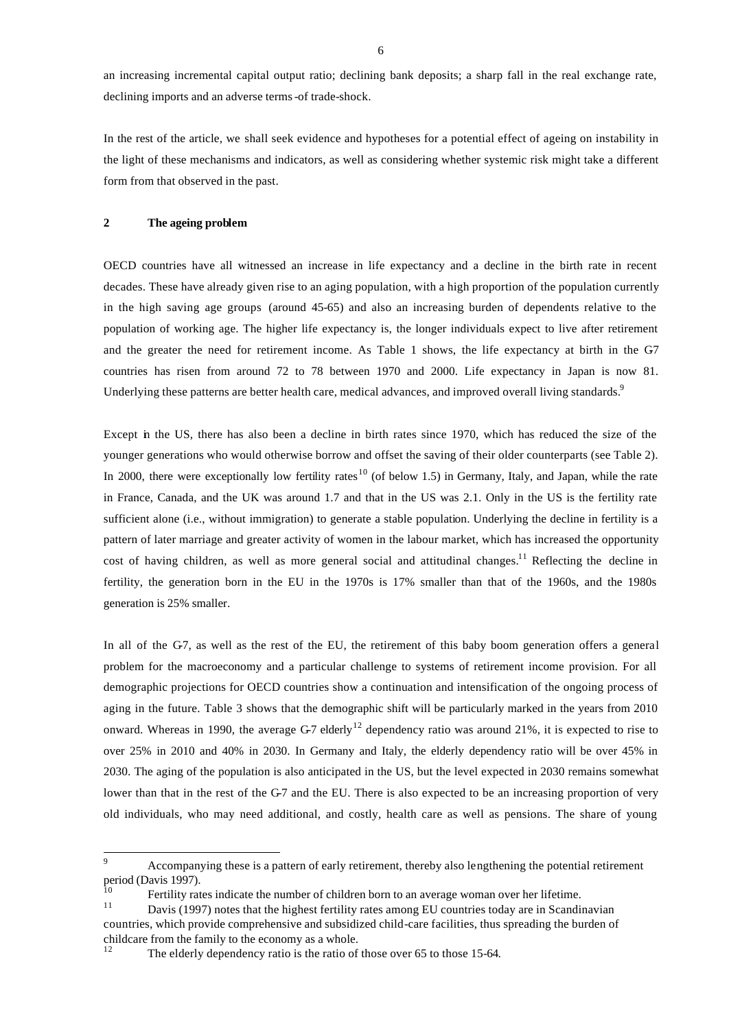an increasing incremental capital output ratio; declining bank deposits; a sharp fall in the real exchange rate, declining imports and an adverse terms-of trade-shock.

In the rest of the article, we shall seek evidence and hypotheses for a potential effect of ageing on instability in the light of these mechanisms and indicators, as well as considering whether systemic risk might take a different form from that observed in the past.

## **2 The ageing problem**

OECD countries have all witnessed an increase in life expectancy and a decline in the birth rate in recent decades. These have already given rise to an aging population, with a high proportion of the population currently in the high saving age groups (around 45-65) and also an increasing burden of dependents relative to the population of working age. The higher life expectancy is, the longer individuals expect to live after retirement and the greater the need for retirement income. As Table 1 shows, the life expectancy at birth in the G7 countries has risen from around 72 to 78 between 1970 and 2000. Life expectancy in Japan is now 81. Underlying these patterns are better health care, medical advances, and improved overall living standards.<sup>9</sup>

Except in the US, there has also been a decline in birth rates since 1970, which has reduced the size of the younger generations who would otherwise borrow and offset the saving of their older counterparts (see Table 2). In 2000, there were exceptionally low fertility rates<sup>10</sup> (of below 1.5) in Germany, Italy, and Japan, while the rate in France, Canada, and the UK was around 1.7 and that in the US was 2.1. Only in the US is the fertility rate sufficient alone (i.e., without immigration) to generate a stable population. Underlying the decline in fertility is a pattern of later marriage and greater activity of women in the labour market, which has increased the opportunity cost of having children, as well as more general social and attitudinal changes.<sup>11</sup> Reflecting the decline in fertility, the generation born in the EU in the 1970s is 17% smaller than that of the 1960s, and the 1980s generation is 25% smaller.

In all of the G7, as well as the rest of the EU, the retirement of this baby boom generation offers a general problem for the macroeconomy and a particular challenge to systems of retirement income provision. For all demographic projections for OECD countries show a continuation and intensification of the ongoing process of aging in the future. Table 3 shows that the demographic shift will be particularly marked in the years from 2010 onward. Whereas in 1990, the average G-7 elderly<sup>12</sup> dependency ratio was around 21%, it is expected to rise to over 25% in 2010 and 40% in 2030. In Germany and Italy, the elderly dependency ratio will be over 45% in 2030. The aging of the population is also anticipated in the US, but the level expected in 2030 remains somewhat lower than that in the rest of the G-7 and the EU. There is also expected to be an increasing proportion of very old individuals, who may need additional, and costly, health care as well as pensions. The share of young

 $\overline{9}$ <sup>9</sup> Accompanying these is a pattern of early retirement, thereby also lengthening the potential retirement period (Davis 1997).

<sup>&</sup>lt;sup>10</sup> Fertility rates indicate the number of children born to an average woman over her lifetime.

Davis (1997) notes that the highest fertility rates among EU countries today are in Scandinavian countries, which provide comprehensive and subsidized child-care facilities, thus spreading the burden of childcare from the family to the economy as a whole.

<sup>&</sup>lt;sup>12</sup> The elderly dependency ratio is the ratio of those over 65 to those 15-64.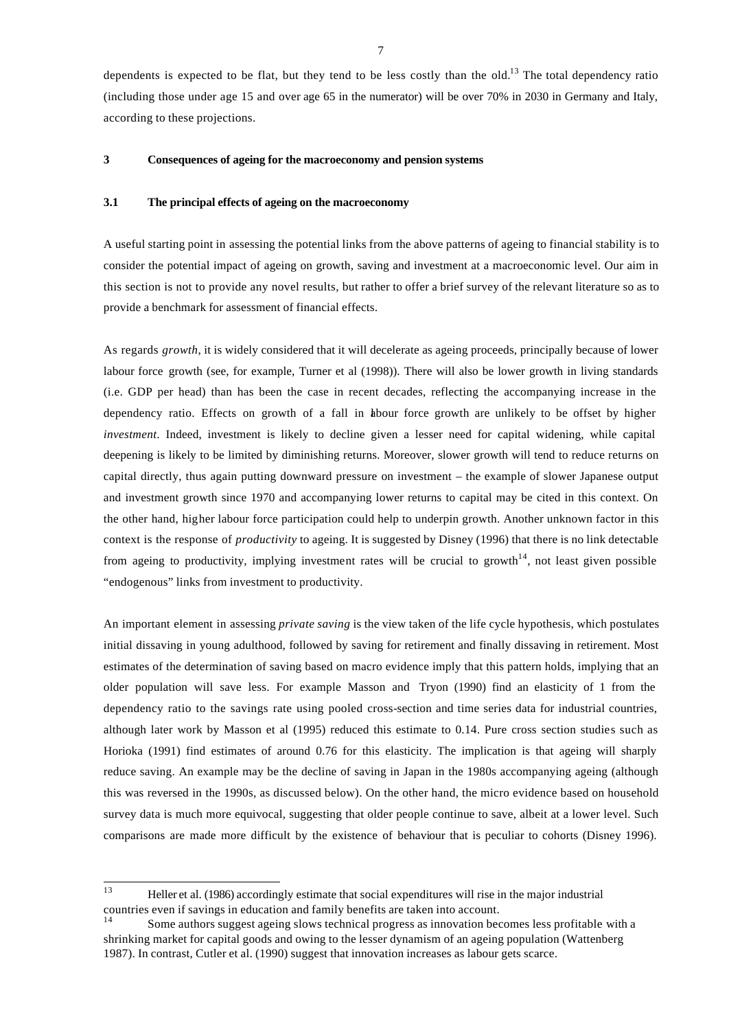dependents is expected to be flat, but they tend to be less costly than the old.<sup>13</sup> The total dependency ratio (including those under age 15 and over age 65 in the numerator) will be over 70% in 2030 in Germany and Italy, according to these projections.

#### **3 Consequences of ageing for the macroeconomy and pension systems**

#### **3.1 The principal effects of ageing on the macroeconomy**

A useful starting point in assessing the potential links from the above patterns of ageing to financial stability is to consider the potential impact of ageing on growth, saving and investment at a macroeconomic level. Our aim in this section is not to provide any novel results, but rather to offer a brief survey of the relevant literature so as to provide a benchmark for assessment of financial effects.

As regards *growth*, it is widely considered that it will decelerate as ageing proceeds, principally because of lower labour force growth (see, for example, Turner et al (1998)). There will also be lower growth in living standards (i.e. GDP per head) than has been the case in recent decades, reflecting the accompanying increase in the dependency ratio. Effects on growth of a fall in labour force growth are unlikely to be offset by higher *investment*. Indeed, investment is likely to decline given a lesser need for capital widening, while capital deepening is likely to be limited by diminishing returns. Moreover, slower growth will tend to reduce returns on capital directly, thus again putting downward pressure on investment – the example of slower Japanese output and investment growth since 1970 and accompanying lower returns to capital may be cited in this context. On the other hand, higher labour force participation could help to underpin growth. Another unknown factor in this context is the response of *productivity* to ageing. It is suggested by Disney (1996) that there is no link detectable from ageing to productivity, implying investment rates will be crucial to growth<sup>14</sup>, not least given possible "endogenous" links from investment to productivity.

An important element in assessing *private saving* is the view taken of the life cycle hypothesis, which postulates initial dissaving in young adulthood, followed by saving for retirement and finally dissaving in retirement. Most estimates of the determination of saving based on macro evidence imply that this pattern holds, implying that an older population will save less. For example Masson and Tryon (1990) find an elasticity of 1 from the dependency ratio to the savings rate using pooled cross-section and time series data for industrial countries, although later work by Masson et al (1995) reduced this estimate to 0.14. Pure cross section studies such as Horioka (1991) find estimates of around 0.76 for this elasticity. The implication is that ageing will sharply reduce saving. An example may be the decline of saving in Japan in the 1980s accompanying ageing (although this was reversed in the 1990s, as discussed below). On the other hand, the micro evidence based on household survey data is much more equivocal, suggesting that older people continue to save, albeit at a lower level. Such comparisons are made more difficult by the existence of behaviour that is peculiar to cohorts (Disney 1996).

 $13$ <sup>13</sup> Heller et al. (1986) accordingly estimate that social expenditures will rise in the major industrial countries even if savings in education and family benefits are taken into account.

Some authors suggest ageing slows technical progress as innovation becomes less profitable with a shrinking market for capital goods and owing to the lesser dynamism of an ageing population (Wattenberg 1987). In contrast, Cutler et al. (1990) suggest that innovation increases as labour gets scarce.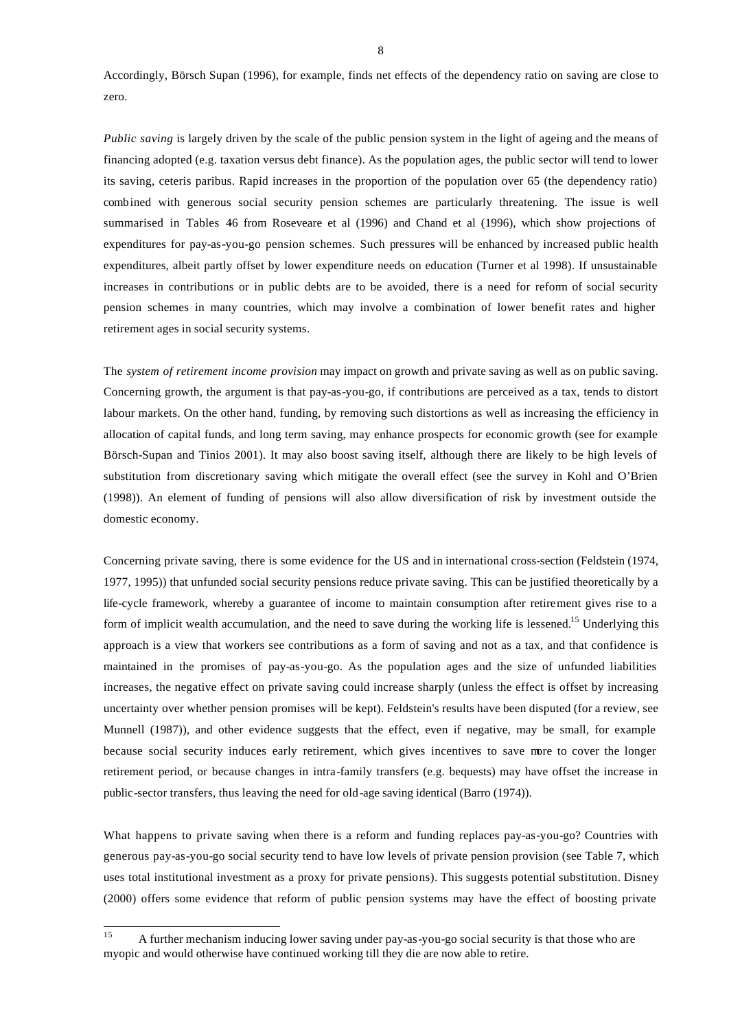Accordingly, Börsch Supan (1996), for example, finds net effects of the dependency ratio on saving are close to zero.

*Public saving* is largely driven by the scale of the public pension system in the light of ageing and the means of financing adopted (e.g. taxation versus debt finance). As the population ages, the public sector will tend to lower its saving, ceteris paribus. Rapid increases in the proportion of the population over 65 (the dependency ratio) combined with generous social security pension schemes are particularly threatening. The issue is well summarised in Tables 46 from Roseveare et al (1996) and Chand et al (1996), which show projections of expenditures for pay-as-you-go pension schemes. Such pressures will be enhanced by increased public health expenditures, albeit partly offset by lower expenditure needs on education (Turner et al 1998). If unsustainable increases in contributions or in public debts are to be avoided, there is a need for reform of social security pension schemes in many countries, which may involve a combination of lower benefit rates and higher retirement ages in social security systems.

The *system of retirement income provision* may impact on growth and private saving as well as on public saving. Concerning growth, the argument is that pay-as-you-go, if contributions are perceived as a tax, tends to distort labour markets. On the other hand, funding, by removing such distortions as well as increasing the efficiency in allocation of capital funds, and long term saving, may enhance prospects for economic growth (see for example Börsch-Supan and Tinios 2001). It may also boost saving itself, although there are likely to be high levels of substitution from discretionary saving which mitigate the overall effect (see the survey in Kohl and O'Brien (1998)). An element of funding of pensions will also allow diversification of risk by investment outside the domestic economy.

Concerning private saving, there is some evidence for the US and in international cross-section (Feldstein (1974, 1977, 1995)) that unfunded social security pensions reduce private saving. This can be justified theoretically by a life-cycle framework, whereby a guarantee of income to maintain consumption after retirement gives rise to a form of implicit wealth accumulation, and the need to save during the working life is lessened.<sup>15</sup> Underlying this approach is a view that workers see contributions as a form of saving and not as a tax, and that confidence is maintained in the promises of pay-as-you-go. As the population ages and the size of unfunded liabilities increases, the negative effect on private saving could increase sharply (unless the effect is offset by increasing uncertainty over whether pension promises will be kept). Feldstein's results have been disputed (for a review, see Munnell (1987)), and other evidence suggests that the effect, even if negative, may be small, for example because social security induces early retirement, which gives incentives to save more to cover the longer retirement period, or because changes in intra-family transfers (e.g. bequests) may have offset the increase in public-sector transfers, thus leaving the need for old-age saving identical (Barro (1974)).

What happens to private saving when there is a reform and funding replaces pay-as-you-go? Countries with generous pay-as-you-go social security tend to have low levels of private pension provision (see Table 7, which uses total institutional investment as a proxy for private pensions). This suggests potential substitution. Disney (2000) offers some evidence that reform of public pension systems may have the effect of boosting private

 $15$ <sup>15</sup> A further mechanism inducing lower saving under pay-as-you-go social security is that those who are myopic and would otherwise have continued working till they die are now able to retire.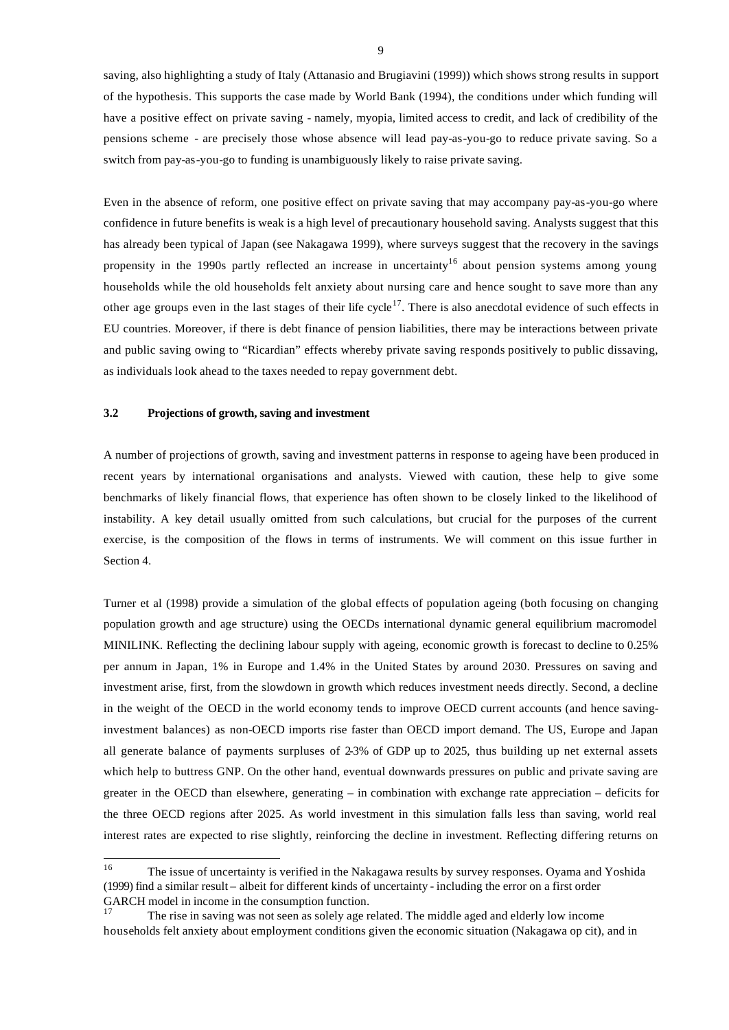saving, also highlighting a study of Italy (Attanasio and Brugiavini (1999)) which shows strong results in support of the hypothesis. This supports the case made by World Bank (1994), the conditions under which funding will have a positive effect on private saving - namely, myopia, limited access to credit, and lack of credibility of the pensions scheme - are precisely those whose absence will lead pay-as-you-go to reduce private saving. So a switch from pay-as-you-go to funding is unambiguously likely to raise private saving.

Even in the absence of reform, one positive effect on private saving that may accompany pay-as-you-go where confidence in future benefits is weak is a high level of precautionary household saving. Analysts suggest that this has already been typical of Japan (see Nakagawa 1999), where surveys suggest that the recovery in the savings propensity in the 1990s partly reflected an increase in uncertainty<sup>16</sup> about pension systems among young households while the old households felt anxiety about nursing care and hence sought to save more than any other age groups even in the last stages of their life cycle<sup>17</sup>. There is also anecdotal evidence of such effects in EU countries. Moreover, if there is debt finance of pension liabilities, there may be interactions between private and public saving owing to "Ricardian" effects whereby private saving responds positively to public dissaving, as individuals look ahead to the taxes needed to repay government debt.

#### **3.2 Projections of growth, saving and investment**

A number of projections of growth, saving and investment patterns in response to ageing have been produced in recent years by international organisations and analysts. Viewed with caution, these help to give some benchmarks of likely financial flows, that experience has often shown to be closely linked to the likelihood of instability. A key detail usually omitted from such calculations, but crucial for the purposes of the current exercise, is the composition of the flows in terms of instruments. We will comment on this issue further in Section 4.

Turner et al (1998) provide a simulation of the global effects of population ageing (both focusing on changing population growth and age structure) using the OECDs international dynamic general equilibrium macromodel MINILINK. Reflecting the declining labour supply with ageing, economic growth is forecast to decline to 0.25% per annum in Japan, 1% in Europe and 1.4% in the United States by around 2030. Pressures on saving and investment arise, first, from the slowdown in growth which reduces investment needs directly. Second, a decline in the weight of the OECD in the world economy tends to improve OECD current accounts (and hence savinginvestment balances) as non-OECD imports rise faster than OECD import demand. The US, Europe and Japan all generate balance of payments surpluses of 2-3% of GDP up to 2025, thus building up net external assets which help to buttress GNP. On the other hand, eventual downwards pressures on public and private saving are greater in the OECD than elsewhere, generating – in combination with exchange rate appreciation – deficits for the three OECD regions after 2025. As world investment in this simulation falls less than saving, world real interest rates are expected to rise slightly, reinforcing the decline in investment. Reflecting differing returns on

<sup>16</sup> <sup>16</sup> The issue of uncertainty is verified in the Nakagawa results by survey responses. Oyama and Yoshida (1999) find a similar result – albeit for different kinds of uncertainty - including the error on a first order GARCH model in income in the consumption function.

<sup>&</sup>lt;sup>17</sup> The rise in saving was not seen as solely age related. The middle aged and elderly low income households felt anxiety about employment conditions given the economic situation (Nakagawa op cit), and in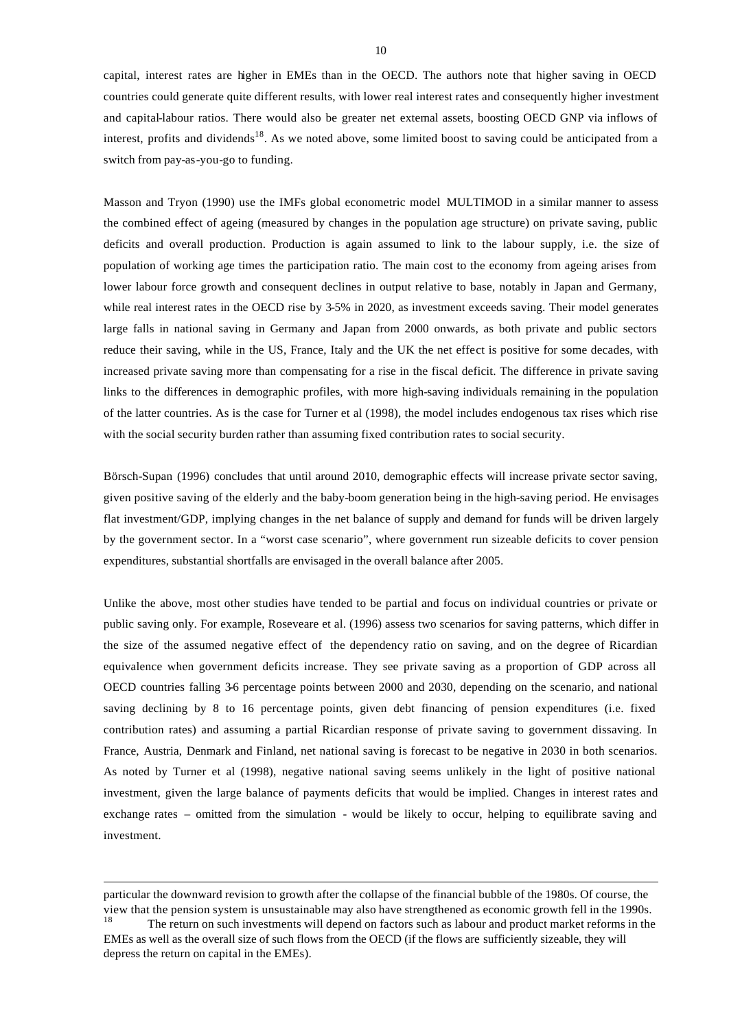capital, interest rates are higher in EMEs than in the OECD. The authors note that higher saving in OECD countries could generate quite different results, with lower real interest rates and consequently higher investment and capital-labour ratios. There would also be greater net external assets, boosting OECD GNP via inflows of interest, profits and dividends<sup>18</sup>. As we noted above, some limited boost to saving could be anticipated from a switch from pay-as-you-go to funding.

Masson and Tryon (1990) use the IMFs global econometric model MULTIMOD in a similar manner to assess the combined effect of ageing (measured by changes in the population age structure) on private saving, public deficits and overall production. Production is again assumed to link to the labour supply, i.e. the size of population of working age times the participation ratio. The main cost to the economy from ageing arises from lower labour force growth and consequent declines in output relative to base, notably in Japan and Germany, while real interest rates in the OECD rise by 3-5% in 2020, as investment exceeds saving. Their model generates large falls in national saving in Germany and Japan from 2000 onwards, as both private and public sectors reduce their saving, while in the US, France, Italy and the UK the net effect is positive for some decades, with increased private saving more than compensating for a rise in the fiscal deficit. The difference in private saving links to the differences in demographic profiles, with more high-saving individuals remaining in the population of the latter countries. As is the case for Turner et al (1998), the model includes endogenous tax rises which rise with the social security burden rather than assuming fixed contribution rates to social security.

Börsch-Supan (1996) concludes that until around 2010, demographic effects will increase private sector saving, given positive saving of the elderly and the baby-boom generation being in the high-saving period. He envisages flat investment/GDP, implying changes in the net balance of supply and demand for funds will be driven largely by the government sector. In a "worst case scenario", where government run sizeable deficits to cover pension expenditures, substantial shortfalls are envisaged in the overall balance after 2005.

Unlike the above, most other studies have tended to be partial and focus on individual countries or private or public saving only. For example, Roseveare et al. (1996) assess two scenarios for saving patterns, which differ in the size of the assumed negative effect of the dependency ratio on saving, and on the degree of Ricardian equivalence when government deficits increase. They see private saving as a proportion of GDP across all OECD countries falling 3-6 percentage points between 2000 and 2030, depending on the scenario, and national saving declining by 8 to 16 percentage points, given debt financing of pension expenditures (i.e. fixed contribution rates) and assuming a partial Ricardian response of private saving to government dissaving. In France, Austria, Denmark and Finland, net national saving is forecast to be negative in 2030 in both scenarios. As noted by Turner et al (1998), negative national saving seems unlikely in the light of positive national investment, given the large balance of payments deficits that would be implied. Changes in interest rates and exchange rates – omitted from the simulation - would be likely to occur, helping to equilibrate saving and investment.

l

particular the downward revision to growth after the collapse of the financial bubble of the 1980s. Of course, the view that the pension system is unsustainable may also have strengthened as economic growth fell in the 1990s.

The return on such investments will depend on factors such as labour and product market reforms in the EMEs as well as the overall size of such flows from the OECD (if the flows are sufficiently sizeable, they will depress the return on capital in the EMEs).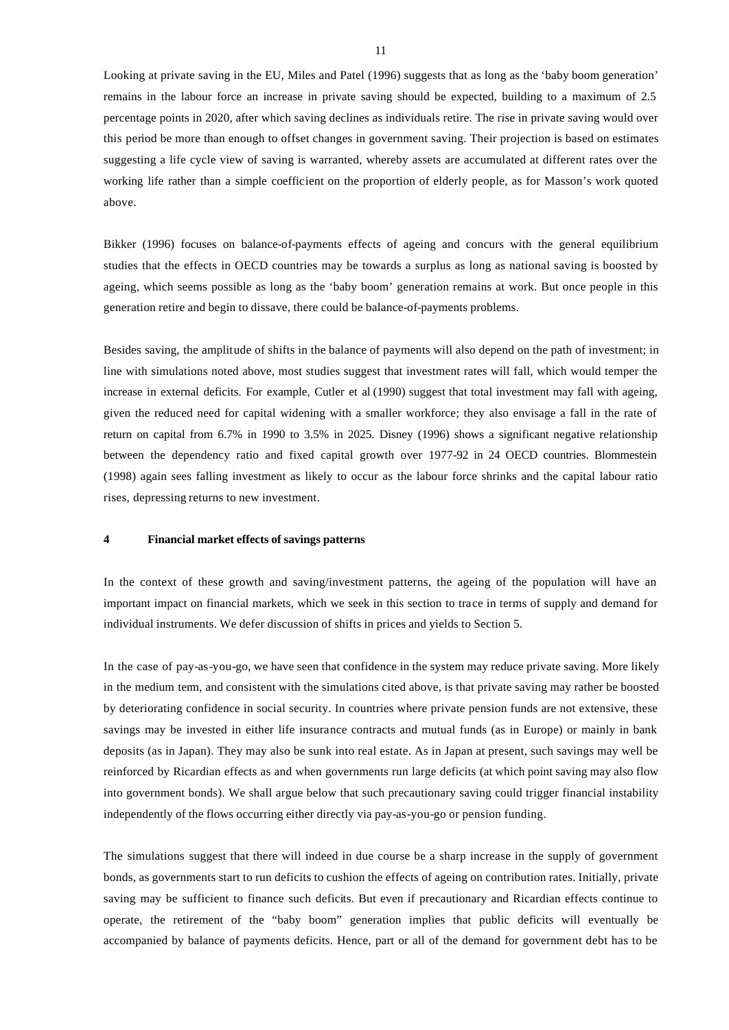Looking at private saving in the EU, Miles and Patel (1996) suggests that as long as the 'baby boom generation' remains in the labour force an increase in private saving should be expected, building to a maximum of 2.5 percentage points in 2020, after which saving declines as individuals retire. The rise in private saving would over this period be more than enough to offset changes in government saving. Their projection is based on estimates suggesting a life cycle view of saving is warranted, whereby assets are accumulated at different rates over the working life rather than a simple coefficient on the proportion of elderly people, as for Masson's work quoted above.

Bikker (1996) focuses on balance-of-payments effects of ageing and concurs with the general equilibrium studies that the effects in OECD countries may be towards a surplus as long as national saving is boosted by ageing, which seems possible as long as the 'baby boom' generation remains at work. But once people in this generation retire and begin to dissave, there could be balance-of-payments problems.

Besides saving, the amplitude of shifts in the balance of payments will also depend on the path of investment; in line with simulations noted above, most studies suggest that investment rates will fall, which would temper the increase in external deficits. For example, Cutler et al (1990) suggest that total investment may fall with ageing, given the reduced need for capital widening with a smaller workforce; they also envisage a fall in the rate of return on capital from 6.7% in 1990 to 3.5% in 2025. Disney (1996) shows a significant negative relationship between the dependency ratio and fixed capital growth over 1977-92 in 24 OECD countries. Blommestein (1998) again sees falling investment as likely to occur as the labour force shrinks and the capital labour ratio rises, depressing returns to new investment.

#### **4 Financial market effects of savings patterns**

In the context of these growth and saving/investment patterns, the ageing of the population will have an important impact on financial markets, which we seek in this section to trace in terms of supply and demand for individual instruments. We defer discussion of shifts in prices and yields to Section 5.

In the case of pay-as-you-go, we have seen that confidence in the system may reduce private saving. More likely in the medium term, and consistent with the simulations cited above, is that private saving may rather be boosted by deteriorating confidence in social security. In countries where private pension funds are not extensive, these savings may be invested in either life insurance contracts and mutual funds (as in Europe) or mainly in bank deposits (as in Japan). They may also be sunk into real estate. As in Japan at present, such savings may well be reinforced by Ricardian effects as and when governments run large deficits (at which point saving may also flow into government bonds). We shall argue below that such precautionary saving could trigger financial instability independently of the flows occurring either directly via pay-as-you-go or pension funding.

The simulations suggest that there will indeed in due course be a sharp increase in the supply of government bonds, as governments start to run deficits to cushion the effects of ageing on contribution rates. Initially, private saving may be sufficient to finance such deficits. But even if precautionary and Ricardian effects continue to operate, the retirement of the "baby boom" generation implies that public deficits will eventually be accompanied by balance of payments deficits. Hence, part or all of the demand for government debt has to be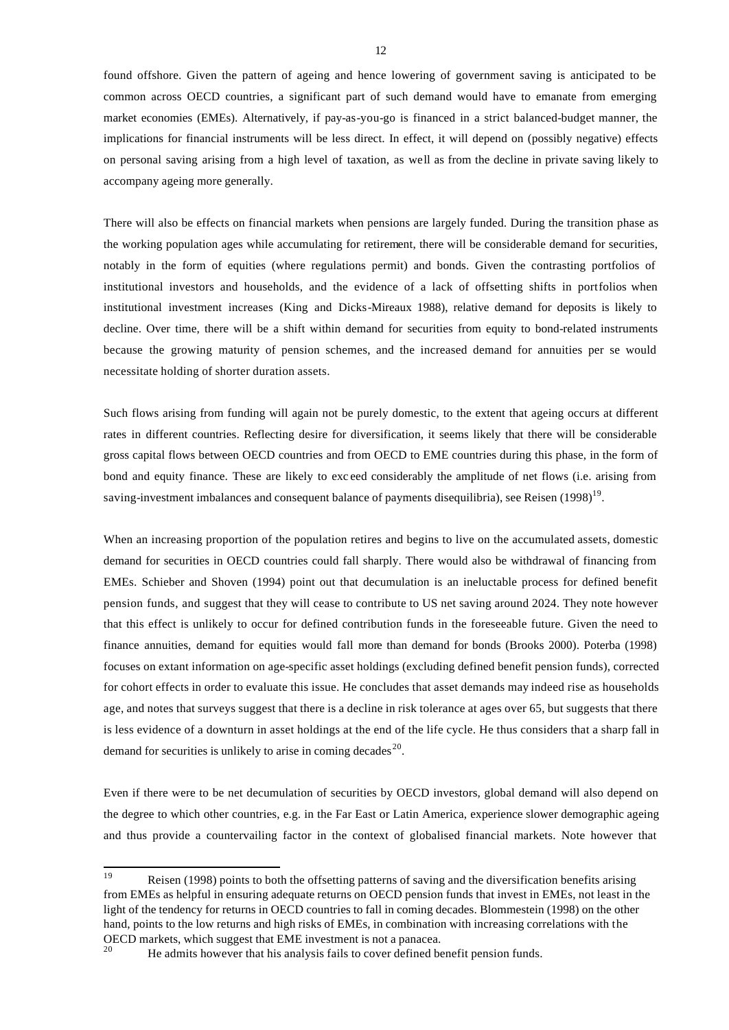found offshore. Given the pattern of ageing and hence lowering of government saving is anticipated to be common across OECD countries, a significant part of such demand would have to emanate from emerging market economies (EMEs). Alternatively, if pay-as-you-go is financed in a strict balanced-budget manner, the implications for financial instruments will be less direct. In effect, it will depend on (possibly negative) effects on personal saving arising from a high level of taxation, as well as from the decline in private saving likely to accompany ageing more generally.

There will also be effects on financial markets when pensions are largely funded. During the transition phase as the working population ages while accumulating for retirement, there will be considerable demand for securities, notably in the form of equities (where regulations permit) and bonds. Given the contrasting portfolios of institutional investors and households, and the evidence of a lack of offsetting shifts in portfolios when institutional investment increases (King and Dicks-Mireaux 1988), relative demand for deposits is likely to decline. Over time, there will be a shift within demand for securities from equity to bond-related instruments because the growing maturity of pension schemes, and the increased demand for annuities per se would necessitate holding of shorter duration assets.

Such flows arising from funding will again not be purely domestic, to the extent that ageing occurs at different rates in different countries. Reflecting desire for diversification, it seems likely that there will be considerable gross capital flows between OECD countries and from OECD to EME countries during this phase, in the form of bond and equity finance. These are likely to exc eed considerably the amplitude of net flows (i.e. arising from saving-investment imbalances and consequent balance of payments disequilibria), see Reisen (1998)<sup>19</sup>.

When an increasing proportion of the population retires and begins to live on the accumulated assets, domestic demand for securities in OECD countries could fall sharply. There would also be withdrawal of financing from EMEs. Schieber and Shoven (1994) point out that decumulation is an ineluctable process for defined benefit pension funds, and suggest that they will cease to contribute to US net saving around 2024. They note however that this effect is unlikely to occur for defined contribution funds in the foreseeable future. Given the need to finance annuities, demand for equities would fall more than demand for bonds (Brooks 2000). Poterba (1998) focuses on extant information on age-specific asset holdings (excluding defined benefit pension funds), corrected for cohort effects in order to evaluate this issue. He concludes that asset demands may indeed rise as households age, and notes that surveys suggest that there is a decline in risk tolerance at ages over 65, but suggests that there is less evidence of a downturn in asset holdings at the end of the life cycle. He thus considers that a sharp fall in demand for securities is unlikely to arise in coming decades<sup>20</sup>.

Even if there were to be net decumulation of securities by OECD investors, global demand will also depend on the degree to which other countries, e.g. in the Far East or Latin America, experience slower demographic ageing and thus provide a countervailing factor in the context of globalised financial markets. Note however that

<sup>19</sup> Reisen (1998) points to both the offsetting patterns of saving and the diversification benefits arising from EMEs as helpful in ensuring adequate returns on OECD pension funds that invest in EMEs, not least in the light of the tendency for returns in OECD countries to fall in coming decades. Blommestein (1998) on the other hand, points to the low returns and high risks of EMEs, in combination with increasing correlations with the OECD markets, which suggest that EME investment is not a panacea.

<sup>&</sup>lt;sup>20</sup> He admits however that his analysis fails to cover defined benefit pension funds.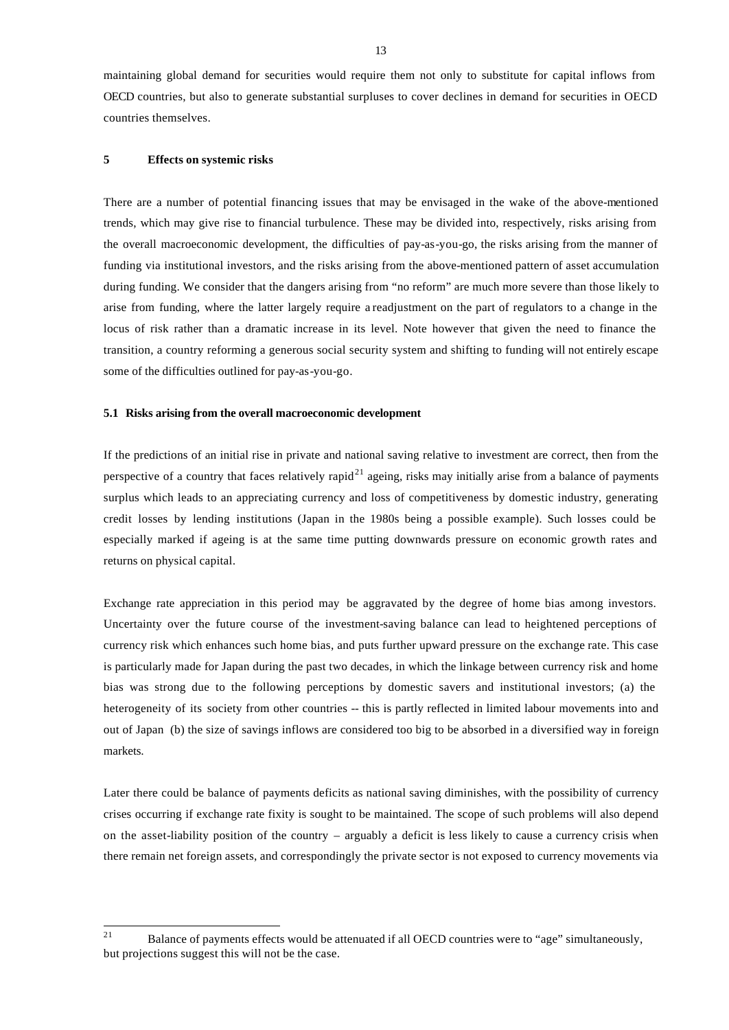maintaining global demand for securities would require them not only to substitute for capital inflows from OECD countries, but also to generate substantial surpluses to cover declines in demand for securities in OECD countries themselves.

#### **5 Effects on systemic risks**

There are a number of potential financing issues that may be envisaged in the wake of the above-mentioned trends, which may give rise to financial turbulence. These may be divided into, respectively, risks arising from the overall macroeconomic development, the difficulties of pay-as-you-go, the risks arising from the manner of funding via institutional investors, and the risks arising from the above-mentioned pattern of asset accumulation during funding. We consider that the dangers arising from "no reform" are much more severe than those likely to arise from funding, where the latter largely require a readjustment on the part of regulators to a change in the locus of risk rather than a dramatic increase in its level. Note however that given the need to finance the transition, a country reforming a generous social security system and shifting to funding will not entirely escape some of the difficulties outlined for pay-as-you-go.

#### **5.1 Risks arising from the overall macroeconomic development**

If the predictions of an initial rise in private and national saving relative to investment are correct, then from the perspective of a country that faces relatively rapid<sup>21</sup> ageing, risks may initially arise from a balance of payments surplus which leads to an appreciating currency and loss of competitiveness by domestic industry, generating credit losses by lending institutions (Japan in the 1980s being a possible example). Such losses could be especially marked if ageing is at the same time putting downwards pressure on economic growth rates and returns on physical capital.

Exchange rate appreciation in this period may be aggravated by the degree of home bias among investors. Uncertainty over the future course of the investment-saving balance can lead to heightened perceptions of currency risk which enhances such home bias, and puts further upward pressure on the exchange rate. This case is particularly made for Japan during the past two decades, in which the linkage between currency risk and home bias was strong due to the following perceptions by domestic savers and institutional investors; (a) the heterogeneity of its society from other countries -- this is partly reflected in limited labour movements into and out of Japan (b) the size of savings inflows are considered too big to be absorbed in a diversified way in foreign markets.

Later there could be balance of payments deficits as national saving diminishes, with the possibility of currency crises occurring if exchange rate fixity is sought to be maintained. The scope of such problems will also depend on the asset-liability position of the country – arguably a deficit is less likely to cause a currency crisis when there remain net foreign assets, and correspondingly the private sector is not exposed to currency movements via

 $21$ <sup>21</sup> Balance of payments effects would be attenuated if all OECD countries were to "age" simultaneously, but projections suggest this will not be the case.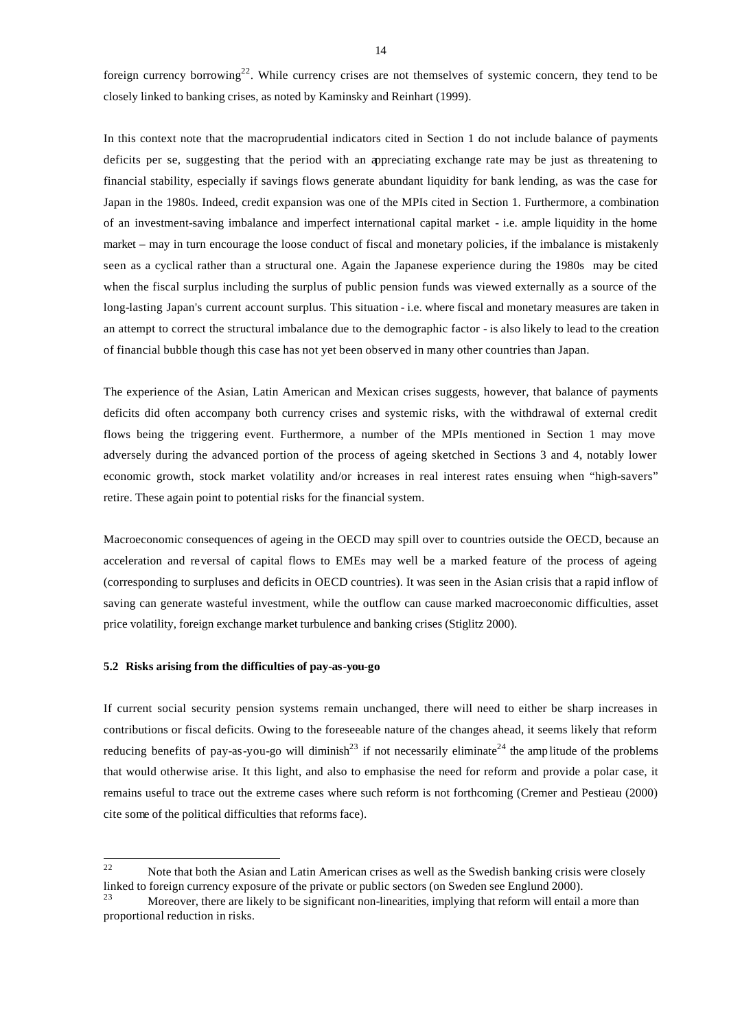foreign currency borrowing<sup>22</sup>. While currency crises are not themselves of systemic concern, they tend to be closely linked to banking crises, as noted by Kaminsky and Reinhart (1999).

In this context note that the macroprudential indicators cited in Section 1 do not include balance of payments deficits per se, suggesting that the period with an appreciating exchange rate may be just as threatening to financial stability, especially if savings flows generate abundant liquidity for bank lending, as was the case for Japan in the 1980s. Indeed, credit expansion was one of the MPIs cited in Section 1. Furthermore, a combination of an investment-saving imbalance and imperfect international capital market - i.e. ample liquidity in the home market – may in turn encourage the loose conduct of fiscal and monetary policies, if the imbalance is mistakenly seen as a cyclical rather than a structural one. Again the Japanese experience during the 1980s may be cited when the fiscal surplus including the surplus of public pension funds was viewed externally as a source of the long-lasting Japan's current account surplus. This situation - i.e. where fiscal and monetary measures are taken in an attempt to correct the structural imbalance due to the demographic factor - is also likely to lead to the creation of financial bubble though this case has not yet been observed in many other countries than Japan.

The experience of the Asian, Latin American and Mexican crises suggests, however, that balance of payments deficits did often accompany both currency crises and systemic risks, with the withdrawal of external credit flows being the triggering event. Furthermore, a number of the MPIs mentioned in Section 1 may move adversely during the advanced portion of the process of ageing sketched in Sections 3 and 4, notably lower economic growth, stock market volatility and/or increases in real interest rates ensuing when "high-savers" retire. These again point to potential risks for the financial system.

Macroeconomic consequences of ageing in the OECD may spill over to countries outside the OECD, because an acceleration and reversal of capital flows to EMEs may well be a marked feature of the process of ageing (corresponding to surpluses and deficits in OECD countries). It was seen in the Asian crisis that a rapid inflow of saving can generate wasteful investment, while the outflow can cause marked macroeconomic difficulties, asset price volatility, foreign exchange market turbulence and banking crises (Stiglitz 2000).

### **5.2 Risks arising from the difficulties of pay-as-you-go**

If current social security pension systems remain unchanged, there will need to either be sharp increases in contributions or fiscal deficits. Owing to the foreseeable nature of the changes ahead, it seems likely that reform reducing benefits of pay-as-you-go will diminish<sup>23</sup> if not necessarily eliminate<sup>24</sup> the amp litude of the problems that would otherwise arise. It this light, and also to emphasise the need for reform and provide a polar case, it remains useful to trace out the extreme cases where such reform is not forthcoming (Cremer and Pestieau (2000) cite some of the political difficulties that reforms face).

 $22$ Note that both the Asian and Latin American crises as well as the Swedish banking crisis were closely linked to foreign currency exposure of the private or public sectors (on Sweden see Englund 2000).

<sup>23</sup> Moreover, there are likely to be significant non-linearities, implying that reform will entail a more than proportional reduction in risks.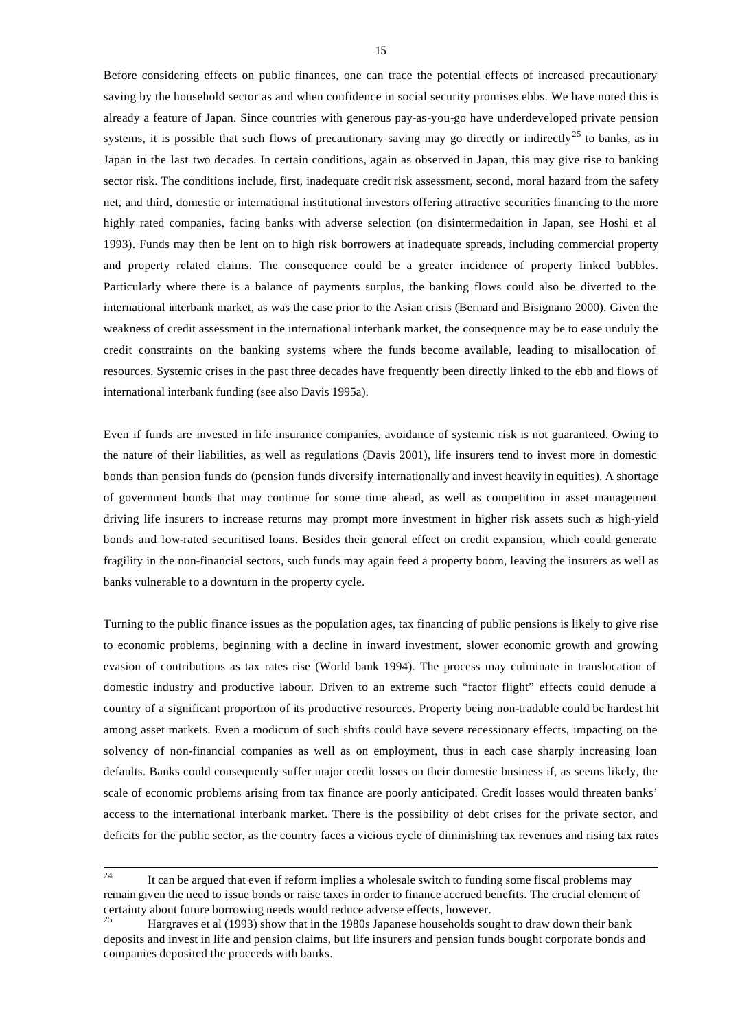Before considering effects on public finances, one can trace the potential effects of increased precautionary saving by the household sector as and when confidence in social security promises ebbs. We have noted this is already a feature of Japan. Since countries with generous pay-as-you-go have underdeveloped private pension systems, it is possible that such flows of precautionary saving may go directly or indirectly<sup>25</sup> to banks, as in Japan in the last two decades. In certain conditions, again as observed in Japan, this may give rise to banking sector risk. The conditions include, first, inadequate credit risk assessment, second, moral hazard from the safety net, and third, domestic or international institutional investors offering attractive securities financing to the more highly rated companies, facing banks with adverse selection (on disintermedaition in Japan, see Hoshi et al 1993). Funds may then be lent on to high risk borrowers at inadequate spreads, including commercial property and property related claims. The consequence could be a greater incidence of property linked bubbles. Particularly where there is a balance of payments surplus, the banking flows could also be diverted to the international interbank market, as was the case prior to the Asian crisis (Bernard and Bisignano 2000). Given the weakness of credit assessment in the international interbank market, the consequence may be to ease unduly the credit constraints on the banking systems where the funds become available, leading to misallocation of resources. Systemic crises in the past three decades have frequently been directly linked to the ebb and flows of international interbank funding (see also Davis 1995a).

Even if funds are invested in life insurance companies, avoidance of systemic risk is not guaranteed. Owing to the nature of their liabilities, as well as regulations (Davis 2001), life insurers tend to invest more in domestic bonds than pension funds do (pension funds diversify internationally and invest heavily in equities). A shortage of government bonds that may continue for some time ahead, as well as competition in asset management driving life insurers to increase returns may prompt more investment in higher risk assets such as high-yield bonds and low-rated securitised loans. Besides their general effect on credit expansion, which could generate fragility in the non-financial sectors, such funds may again feed a property boom, leaving the insurers as well as banks vulnerable to a downturn in the property cycle.

Turning to the public finance issues as the population ages, tax financing of public pensions is likely to give rise to economic problems, beginning with a decline in inward investment, slower economic growth and growing evasion of contributions as tax rates rise (World bank 1994). The process may culminate in translocation of domestic industry and productive labour. Driven to an extreme such "factor flight" effects could denude a country of a significant proportion of its productive resources. Property being non-tradable could be hardest hit among asset markets. Even a modicum of such shifts could have severe recessionary effects, impacting on the solvency of non-financial companies as well as on employment, thus in each case sharply increasing loan defaults. Banks could consequently suffer major credit losses on their domestic business if, as seems likely, the scale of economic problems arising from tax finance are poorly anticipated. Credit losses would threaten banks' access to the international interbank market. There is the possibility of debt crises for the private sector, and deficits for the public sector, as the country faces a vicious cycle of diminishing tax revenues and rising tax rates

 $24$ It can be argued that even if reform implies a wholesale switch to funding some fiscal problems may remain given the need to issue bonds or raise taxes in order to finance accrued benefits. The crucial element of certainty about future borrowing needs would reduce adverse effects, however.

<sup>25</sup> Hargraves et al (1993) show that in the 1980s Japanese households sought to draw down their bank deposits and invest in life and pension claims, but life insurers and pension funds bought corporate bonds and companies deposited the proceeds with banks.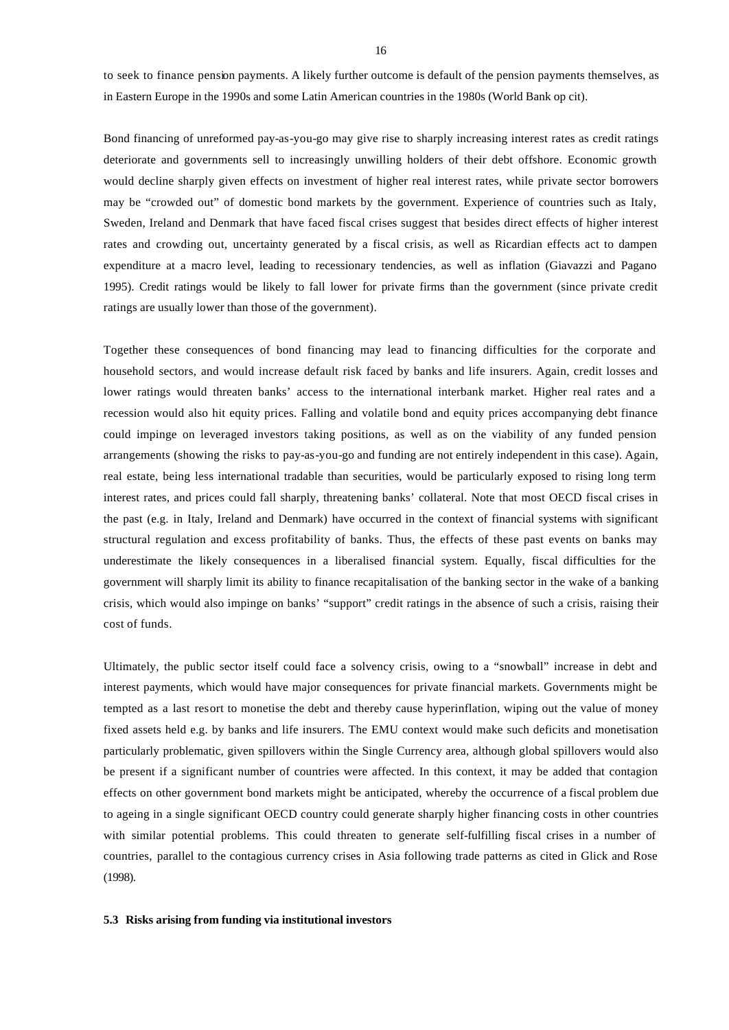Bond financing of unreformed pay-as-you-go may give rise to sharply increasing interest rates as credit ratings deteriorate and governments sell to increasingly unwilling holders of their debt offshore. Economic growth would decline sharply given effects on investment of higher real interest rates, while private sector borrowers may be "crowded out" of domestic bond markets by the government. Experience of countries such as Italy, Sweden, Ireland and Denmark that have faced fiscal crises suggest that besides direct effects of higher interest rates and crowding out, uncertainty generated by a fiscal crisis, as well as Ricardian effects act to dampen expenditure at a macro level, leading to recessionary tendencies, as well as inflation (Giavazzi and Pagano 1995). Credit ratings would be likely to fall lower for private firms than the government (since private credit ratings are usually lower than those of the government).

Together these consequences of bond financing may lead to financing difficulties for the corporate and household sectors, and would increase default risk faced by banks and life insurers. Again, credit losses and lower ratings would threaten banks' access to the international interbank market. Higher real rates and a recession would also hit equity prices. Falling and volatile bond and equity prices accompanying debt finance could impinge on leveraged investors taking positions, as well as on the viability of any funded pension arrangements (showing the risks to pay-as-you-go and funding are not entirely independent in this case). Again, real estate, being less international tradable than securities, would be particularly exposed to rising long term interest rates, and prices could fall sharply, threatening banks' collateral. Note that most OECD fiscal crises in the past (e.g. in Italy, Ireland and Denmark) have occurred in the context of financial systems with significant structural regulation and excess profitability of banks. Thus, the effects of these past events on banks may underestimate the likely consequences in a liberalised financial system. Equally, fiscal difficulties for the government will sharply limit its ability to finance recapitalisation of the banking sector in the wake of a banking crisis, which would also impinge on banks' "support" credit ratings in the absence of such a crisis, raising their cost of funds.

Ultimately, the public sector itself could face a solvency crisis, owing to a "snowball" increase in debt and interest payments, which would have major consequences for private financial markets. Governments might be tempted as a last resort to monetise the debt and thereby cause hyperinflation, wiping out the value of money fixed assets held e.g. by banks and life insurers. The EMU context would make such deficits and monetisation particularly problematic, given spillovers within the Single Currency area, although global spillovers would also be present if a significant number of countries were affected. In this context, it may be added that contagion effects on other government bond markets might be anticipated, whereby the occurrence of a fiscal problem due to ageing in a single significant OECD country could generate sharply higher financing costs in other countries with similar potential problems. This could threaten to generate self-fulfilling fiscal crises in a number of countries, parallel to the contagious currency crises in Asia following trade patterns as cited in Glick and Rose (1998).

#### **5.3 Risks arising from funding via institutional investors**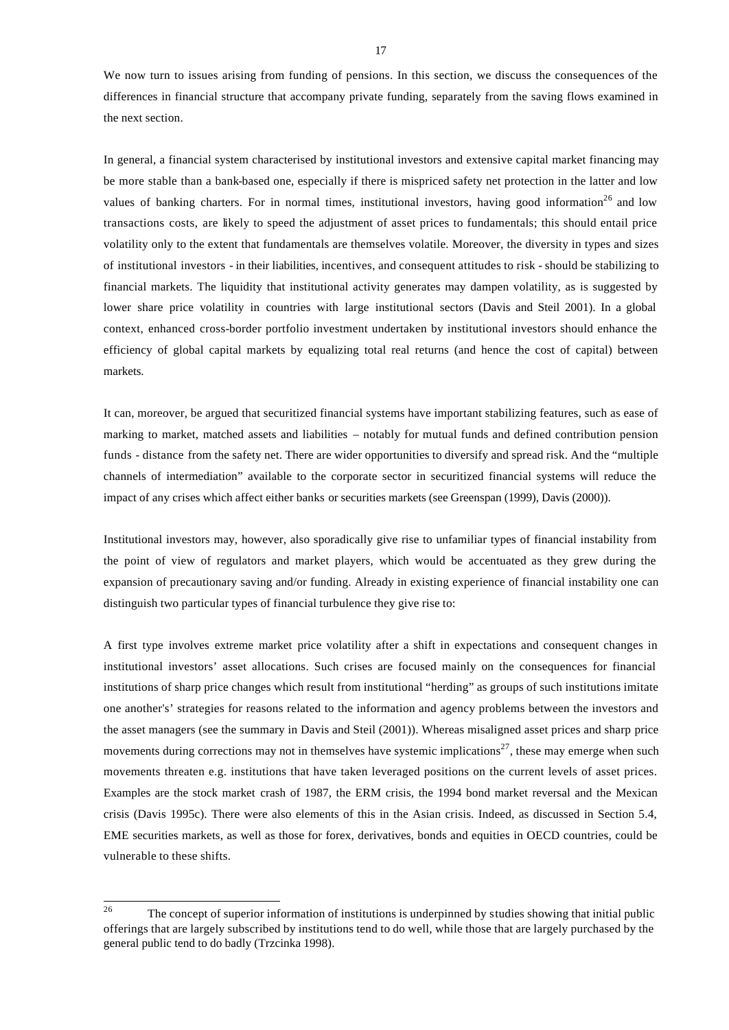We now turn to issues arising from funding of pensions. In this section, we discuss the consequences of the differences in financial structure that accompany private funding, separately from the saving flows examined in the next section.

In general, a financial system characterised by institutional investors and extensive capital market financing may be more stable than a bank-based one, especially if there is mispriced safety net protection in the latter and low values of banking charters. For in normal times, institutional investors, having good information<sup>26</sup> and low transactions costs, are likely to speed the adjustment of asset prices to fundamentals; this should entail price volatility only to the extent that fundamentals are themselves volatile. Moreover, the diversity in types and sizes of institutional investors - in their liabilities, incentives, and consequent attitudes to risk - should be stabilizing to financial markets. The liquidity that institutional activity generates may dampen volatility, as is suggested by lower share price volatility in countries with large institutional sectors (Davis and Steil 2001). In a global context, enhanced cross-border portfolio investment undertaken by institutional investors should enhance the efficiency of global capital markets by equalizing total real returns (and hence the cost of capital) between markets.

It can, moreover, be argued that securitized financial systems have important stabilizing features, such as ease of marking to market, matched assets and liabilities – notably for mutual funds and defined contribution pension funds - distance from the safety net. There are wider opportunities to diversify and spread risk. And the "multiple channels of intermediation" available to the corporate sector in securitized financial systems will reduce the impact of any crises which affect either banks or securities markets (see Greenspan (1999), Davis (2000)).

Institutional investors may, however, also sporadically give rise to unfamiliar types of financial instability from the point of view of regulators and market players, which would be accentuated as they grew during the expansion of precautionary saving and/or funding. Already in existing experience of financial instability one can distinguish two particular types of financial turbulence they give rise to:

A first type involves extreme market price volatility after a shift in expectations and consequent changes in institutional investors' asset allocations. Such crises are focused mainly on the consequences for financial institutions of sharp price changes which result from institutional "herding" as groups of such institutions imitate one another's' strategies for reasons related to the information and agency problems between the investors and the asset managers (see the summary in Davis and Steil (2001)). Whereas misaligned asset prices and sharp price movements during corrections may not in themselves have systemic implications<sup>27</sup>, these may emerge when such movements threaten e.g. institutions that have taken leveraged positions on the current levels of asset prices. Examples are the stock market crash of 1987, the ERM crisis, the 1994 bond market reversal and the Mexican crisis (Davis 1995c). There were also elements of this in the Asian crisis. Indeed, as discussed in Section 5.4, EME securities markets, as well as those for forex, derivatives, bonds and equities in OECD countries, could be vulnerable to these shifts.

<sup>26</sup> The concept of superior information of institutions is underpinned by studies showing that initial public offerings that are largely subscribed by institutions tend to do well, while those that are largely purchased by the general public tend to do badly (Trzcinka 1998).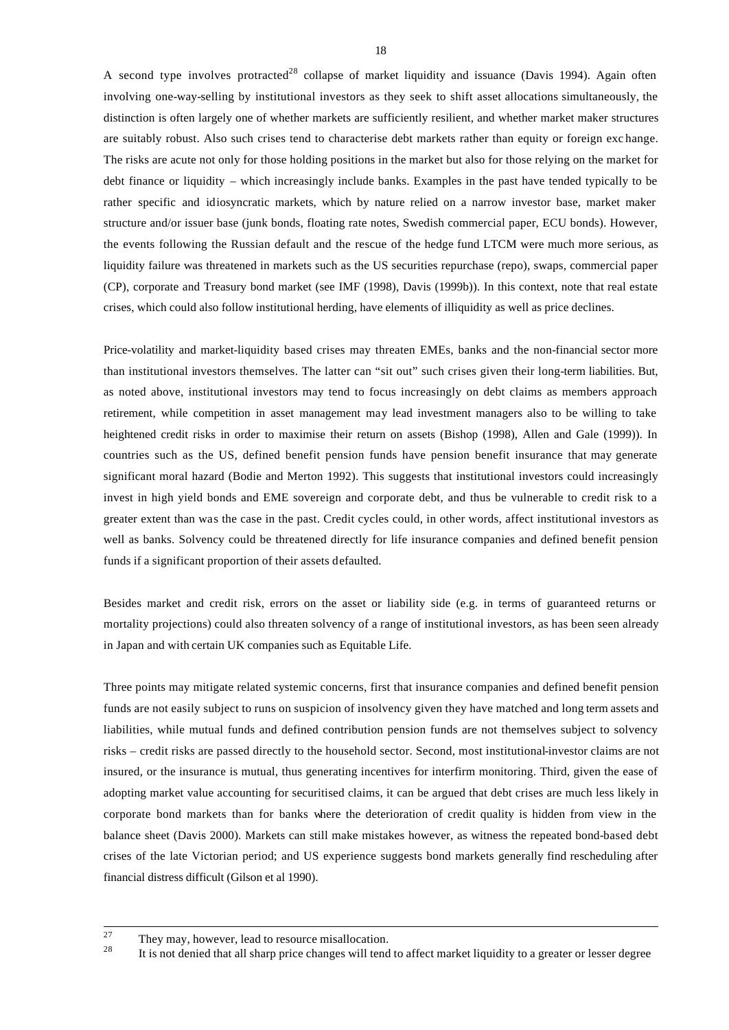A second type involves protracted<sup>28</sup> collapse of market liquidity and issuance (Davis 1994). Again often involving one-way-selling by institutional investors as they seek to shift asset allocations simultaneously, the distinction is often largely one of whether markets are sufficiently resilient, and whether market maker structures are suitably robust. Also such crises tend to characterise debt markets rather than equity or foreign exc hange. The risks are acute not only for those holding positions in the market but also for those relying on the market for debt finance or liquidity – which increasingly include banks. Examples in the past have tended typically to be rather specific and idiosyncratic markets, which by nature relied on a narrow investor base, market maker structure and/or issuer base (junk bonds, floating rate notes, Swedish commercial paper, ECU bonds). However, the events following the Russian default and the rescue of the hedge fund LTCM were much more serious, as liquidity failure was threatened in markets such as the US securities repurchase (repo), swaps, commercial paper (CP), corporate and Treasury bond market (see IMF (1998), Davis (1999b)). In this context, note that real estate crises, which could also follow institutional herding, have elements of illiquidity as well as price declines.

Price-volatility and market-liquidity based crises may threaten EMEs, banks and the non-financial sector more than institutional investors themselves. The latter can "sit out" such crises given their long-term liabilities. But, as noted above, institutional investors may tend to focus increasingly on debt claims as members approach retirement, while competition in asset management may lead investment managers also to be willing to take heightened credit risks in order to maximise their return on assets (Bishop (1998), Allen and Gale (1999)). In countries such as the US, defined benefit pension funds have pension benefit insurance that may generate significant moral hazard (Bodie and Merton 1992). This suggests that institutional investors could increasingly invest in high yield bonds and EME sovereign and corporate debt, and thus be vulnerable to credit risk to a greater extent than was the case in the past. Credit cycles could, in other words, affect institutional investors as well as banks. Solvency could be threatened directly for life insurance companies and defined benefit pension funds if a significant proportion of their assets defaulted.

Besides market and credit risk, errors on the asset or liability side (e.g. in terms of guaranteed returns or mortality projections) could also threaten solvency of a range of institutional investors, as has been seen already in Japan and with certain UK companies such as Equitable Life.

Three points may mitigate related systemic concerns, first that insurance companies and defined benefit pension funds are not easily subject to runs on suspicion of insolvency given they have matched and long term assets and liabilities, while mutual funds and defined contribution pension funds are not themselves subject to solvency risks – credit risks are passed directly to the household sector. Second, most institutional-investor claims are not insured, or the insurance is mutual, thus generating incentives for interfirm monitoring. Third, given the ease of adopting market value accounting for securitised claims, it can be argued that debt crises are much less likely in corporate bond markets than for banks where the deterioration of credit quality is hidden from view in the balance sheet (Davis 2000). Markets can still make mistakes however, as witness the repeated bond-based debt crises of the late Victorian period; and US experience suggests bond markets generally find rescheduling after financial distress difficult (Gilson et al 1990).

 $27$  $^{27}$  They may, however, lead to resource misallocation.

<sup>28</sup> It is not denied that all sharp price changes will tend to affect market liquidity to a greater or lesser degree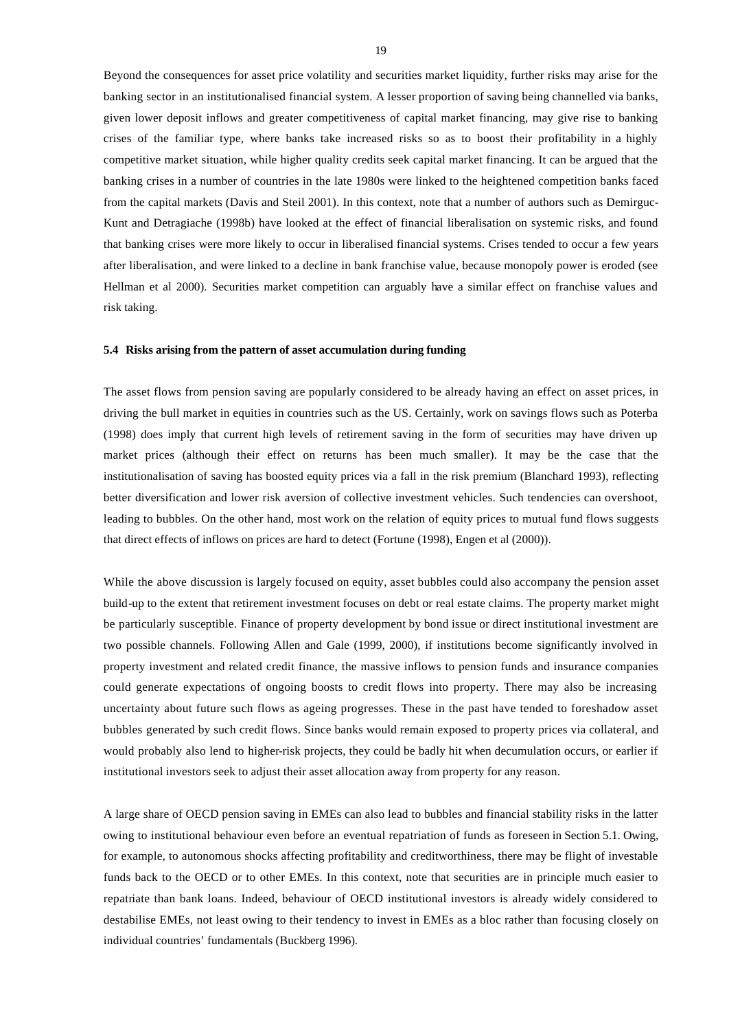Beyond the consequences for asset price volatility and securities market liquidity, further risks may arise for the banking sector in an institutionalised financial system. A lesser proportion of saving being channelled via banks, given lower deposit inflows and greater competitiveness of capital market financing, may give rise to banking crises of the familiar type, where banks take increased risks so as to boost their profitability in a highly competitive market situation, while higher quality credits seek capital market financing. It can be argued that the banking crises in a number of countries in the late 1980s were linked to the heightened competition banks faced from the capital markets (Davis and Steil 2001). In this context, note that a number of authors such as Demirguc-Kunt and Detragiache (1998b) have looked at the effect of financial liberalisation on systemic risks, and found that banking crises were more likely to occur in liberalised financial systems. Crises tended to occur a few years after liberalisation, and were linked to a decline in bank franchise value, because monopoly power is eroded (see Hellman et al 2000). Securities market competition can arguably have a similar effect on franchise values and risk taking.

#### **5.4 Risks arising from the pattern of asset accumulation during funding**

The asset flows from pension saving are popularly considered to be already having an effect on asset prices, in driving the bull market in equities in countries such as the US. Certainly, work on savings flows such as Poterba (1998) does imply that current high levels of retirement saving in the form of securities may have driven up market prices (although their effect on returns has been much smaller). It may be the case that the institutionalisation of saving has boosted equity prices via a fall in the risk premium (Blanchard 1993), reflecting better diversification and lower risk aversion of collective investment vehicles. Such tendencies can overshoot, leading to bubbles. On the other hand, most work on the relation of equity prices to mutual fund flows suggests that direct effects of inflows on prices are hard to detect (Fortune (1998), Engen et al (2000)).

While the above discussion is largely focused on equity, asset bubbles could also accompany the pension asset build-up to the extent that retirement investment focuses on debt or real estate claims. The property market might be particularly susceptible. Finance of property development by bond issue or direct institutional investment are two possible channels. Following Allen and Gale (1999, 2000), if institutions become significantly involved in property investment and related credit finance, the massive inflows to pension funds and insurance companies could generate expectations of ongoing boosts to credit flows into property. There may also be increasing uncertainty about future such flows as ageing progresses. These in the past have tended to foreshadow asset bubbles generated by such credit flows. Since banks would remain exposed to property prices via collateral, and would probably also lend to higher-risk projects, they could be badly hit when decumulation occurs, or earlier if institutional investors seek to adjust their asset allocation away from property for any reason.

A large share of OECD pension saving in EMEs can also lead to bubbles and financial stability risks in the latter owing to institutional behaviour even before an eventual repatriation of funds as foreseen in Section 5.1. Owing, for example, to autonomous shocks affecting profitability and creditworthiness, there may be flight of investable funds back to the OECD or to other EMEs. In this context, note that securities are in principle much easier to repatriate than bank loans. Indeed, behaviour of OECD institutional investors is already widely considered to destabilise EMEs, not least owing to their tendency to invest in EMEs as a bloc rather than focusing closely on individual countries' fundamentals (Buckberg 1996).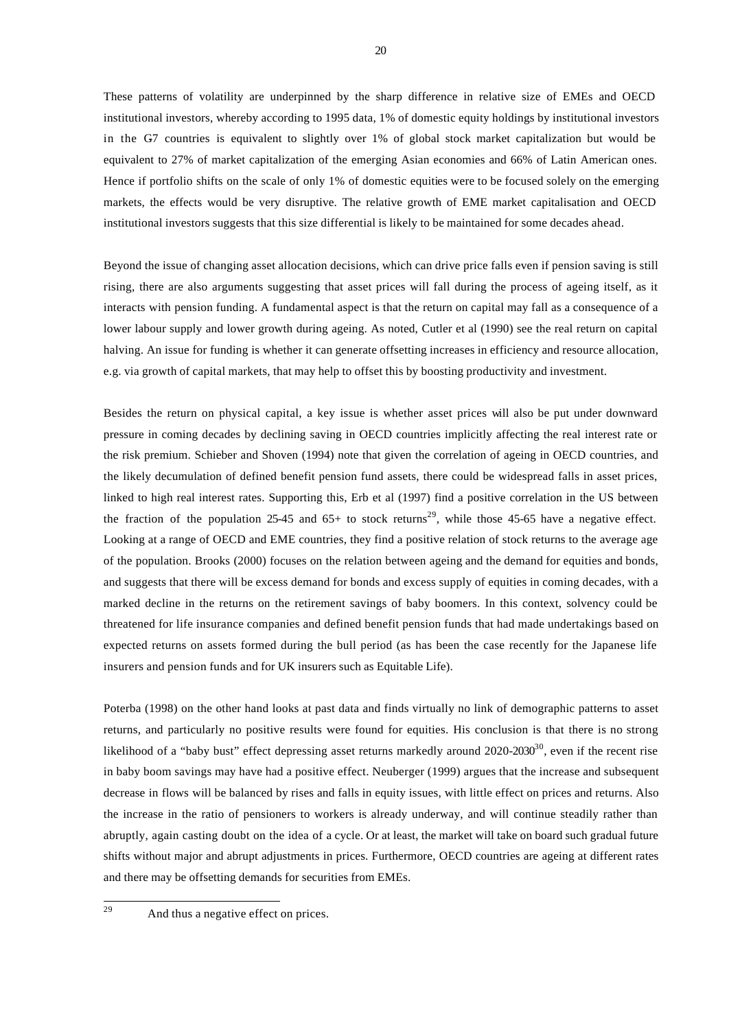These patterns of volatility are underpinned by the sharp difference in relative size of EMEs and OECD institutional investors, whereby according to 1995 data, 1% of domestic equity holdings by institutional investors in the G7 countries is equivalent to slightly over 1% of global stock market capitalization but would be equivalent to 27% of market capitalization of the emerging Asian economies and 66% of Latin American ones. Hence if portfolio shifts on the scale of only 1% of domestic equities were to be focused solely on the emerging markets, the effects would be very disruptive. The relative growth of EME market capitalisation and OECD institutional investors suggests that this size differential is likely to be maintained for some decades ahead.

Beyond the issue of changing asset allocation decisions, which can drive price falls even if pension saving is still rising, there are also arguments suggesting that asset prices will fall during the process of ageing itself, as it interacts with pension funding. A fundamental aspect is that the return on capital may fall as a consequence of a lower labour supply and lower growth during ageing. As noted, Cutler et al (1990) see the real return on capital halving. An issue for funding is whether it can generate offsetting increases in efficiency and resource allocation, e.g. via growth of capital markets, that may help to offset this by boosting productivity and investment.

Besides the return on physical capital, a key issue is whether asset prices will also be put under downward pressure in coming decades by declining saving in OECD countries implicitly affecting the real interest rate or the risk premium. Schieber and Shoven (1994) note that given the correlation of ageing in OECD countries, and the likely decumulation of defined benefit pension fund assets, there could be widespread falls in asset prices, linked to high real interest rates. Supporting this, Erb et al (1997) find a positive correlation in the US between the fraction of the population 25-45 and 65+ to stock returns<sup>29</sup>, while those 45-65 have a negative effect. Looking at a range of OECD and EME countries, they find a positive relation of stock returns to the average age of the population. Brooks (2000) focuses on the relation between ageing and the demand for equities and bonds, and suggests that there will be excess demand for bonds and excess supply of equities in coming decades, with a marked decline in the returns on the retirement savings of baby boomers. In this context, solvency could be threatened for life insurance companies and defined benefit pension funds that had made undertakings based on expected returns on assets formed during the bull period (as has been the case recently for the Japanese life insurers and pension funds and for UK insurers such as Equitable Life).

Poterba (1998) on the other hand looks at past data and finds virtually no link of demographic patterns to asset returns, and particularly no positive results were found for equities. His conclusion is that there is no strong likelihood of a "baby bust" effect depressing asset returns markedly around  $2020$ - $2030^{30}$ , even if the recent rise in baby boom savings may have had a positive effect. Neuberger (1999) argues that the increase and subsequent decrease in flows will be balanced by rises and falls in equity issues, with little effect on prices and returns. Also the increase in the ratio of pensioners to workers is already underway, and will continue steadily rather than abruptly, again casting doubt on the idea of a cycle. Or at least, the market will take on board such gradual future shifts without major and abrupt adjustments in prices. Furthermore, OECD countries are ageing at different rates and there may be offsetting demands for securities from EMEs.

29

And thus a negative effect on prices.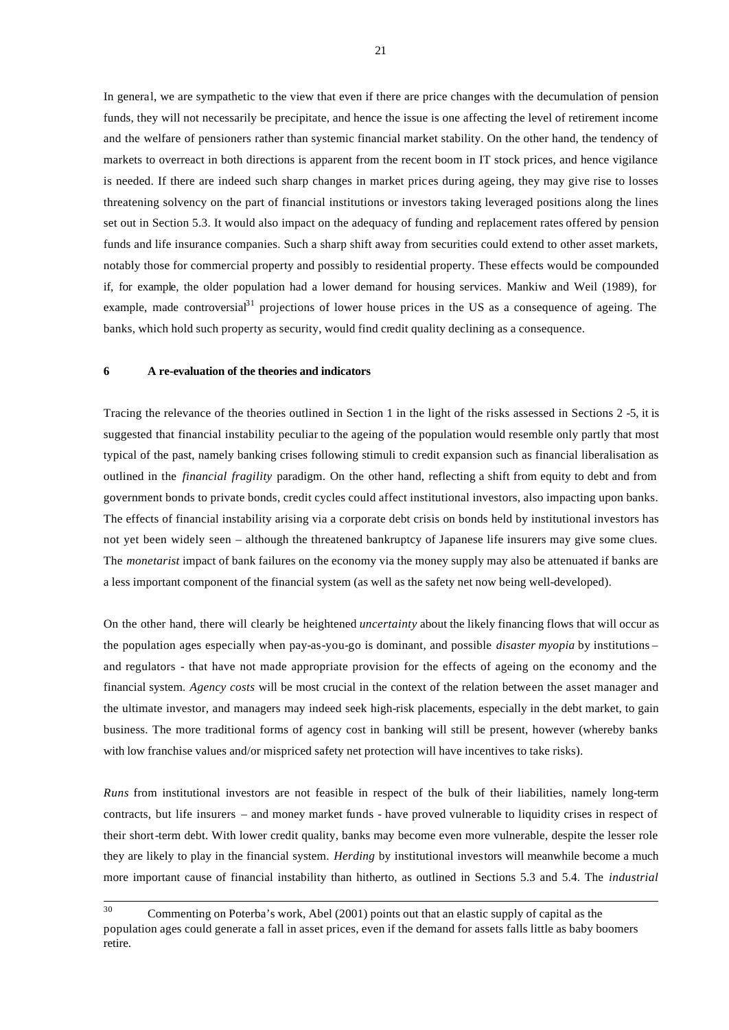In general, we are sympathetic to the view that even if there are price changes with the decumulation of pension funds, they will not necessarily be precipitate, and hence the issue is one affecting the level of retirement income and the welfare of pensioners rather than systemic financial market stability. On the other hand, the tendency of markets to overreact in both directions is apparent from the recent boom in IT stock prices, and hence vigilance is needed. If there are indeed such sharp changes in market prices during ageing, they may give rise to losses threatening solvency on the part of financial institutions or investors taking leveraged positions along the lines set out in Section 5.3. It would also impact on the adequacy of funding and replacement rates offered by pension funds and life insurance companies. Such a sharp shift away from securities could extend to other asset markets, notably those for commercial property and possibly to residential property. These effects would be compounded if, for example, the older population had a lower demand for housing services. Mankiw and Weil (1989), for example, made controversial<sup>31</sup> projections of lower house prices in the US as a consequence of ageing. The banks, which hold such property as security, would find credit quality declining as a consequence.

#### **6 A re-evaluation of the theories and indicators**

Tracing the relevance of the theories outlined in Section 1 in the light of the risks assessed in Sections 2 -5, it is suggested that financial instability peculiar to the ageing of the population would resemble only partly that most typical of the past, namely banking crises following stimuli to credit expansion such as financial liberalisation as outlined in the *financial fragility* paradigm. On the other hand, reflecting a shift from equity to debt and from government bonds to private bonds, credit cycles could affect institutional investors, also impacting upon banks. The effects of financial instability arising via a corporate debt crisis on bonds held by institutional investors has not yet been widely seen – although the threatened bankruptcy of Japanese life insurers may give some clues. The *monetarist* impact of bank failures on the economy via the money supply may also be attenuated if banks are a less important component of the financial system (as well as the safety net now being well-developed).

On the other hand, there will clearly be heightened *uncertainty* about the likely financing flows that will occur as the population ages especially when pay-as-you-go is dominant, and possible *disaster myopia* by institutions – and regulators - that have not made appropriate provision for the effects of ageing on the economy and the financial system. *Agency costs* will be most crucial in the context of the relation between the asset manager and the ultimate investor, and managers may indeed seek high-risk placements, especially in the debt market, to gain business. The more traditional forms of agency cost in banking will still be present, however (whereby banks with low franchise values and/or mispriced safety net protection will have incentives to take risks).

*Runs* from institutional investors are not feasible in respect of the bulk of their liabilities, namely long-term contracts, but life insurers – and money market funds - have proved vulnerable to liquidity crises in respect of their short-term debt. With lower credit quality, banks may become even more vulnerable, despite the lesser role they are likely to play in the financial system. *Herding* by institutional investors will meanwhile become a much more important cause of financial instability than hitherto, as outlined in Sections 5.3 and 5.4. The *industrial* 

<sup>30</sup> <sup>30</sup> Commenting on Poterba's work, Abel (2001) points out that an elastic supply of capital as the population ages could generate a fall in asset prices, even if the demand for assets falls little as baby boomers retire.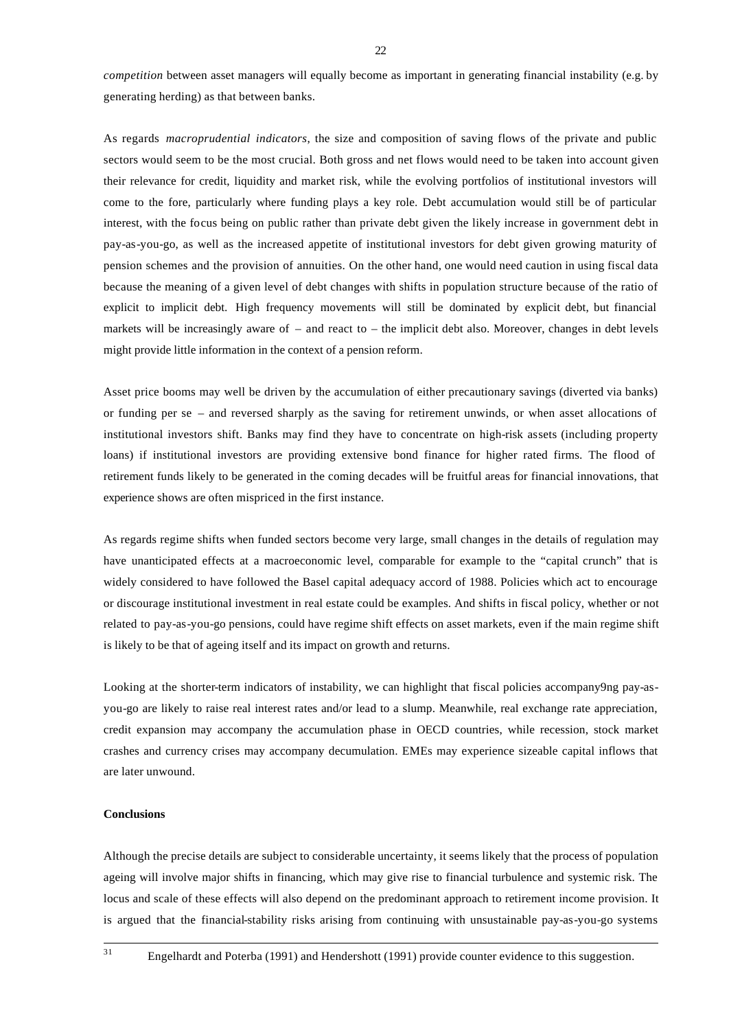*competition* between asset managers will equally become as important in generating financial instability (e.g. by generating herding) as that between banks.

As regards *macroprudential indicators*, the size and composition of saving flows of the private and public sectors would seem to be the most crucial. Both gross and net flows would need to be taken into account given their relevance for credit, liquidity and market risk, while the evolving portfolios of institutional investors will come to the fore, particularly where funding plays a key role. Debt accumulation would still be of particular interest, with the focus being on public rather than private debt given the likely increase in government debt in pay-as-you-go, as well as the increased appetite of institutional investors for debt given growing maturity of pension schemes and the provision of annuities. On the other hand, one would need caution in using fiscal data because the meaning of a given level of debt changes with shifts in population structure because of the ratio of explicit to implicit debt. High frequency movements will still be dominated by explicit debt, but financial markets will be increasingly aware of  $-$  and react to  $-$  the implicit debt also. Moreover, changes in debt levels might provide little information in the context of a pension reform.

Asset price booms may well be driven by the accumulation of either precautionary savings (diverted via banks) or funding per se – and reversed sharply as the saving for retirement unwinds, or when asset allocations of institutional investors shift. Banks may find they have to concentrate on high-risk assets (including property loans) if institutional investors are providing extensive bond finance for higher rated firms. The flood of retirement funds likely to be generated in the coming decades will be fruitful areas for financial innovations, that experience shows are often mispriced in the first instance.

As regards regime shifts when funded sectors become very large, small changes in the details of regulation may have unanticipated effects at a macroeconomic level, comparable for example to the "capital crunch" that is widely considered to have followed the Basel capital adequacy accord of 1988. Policies which act to encourage or discourage institutional investment in real estate could be examples. And shifts in fiscal policy, whether or not related to pay-as-you-go pensions, could have regime shift effects on asset markets, even if the main regime shift is likely to be that of ageing itself and its impact on growth and returns.

Looking at the shorter-term indicators of instability, we can highlight that fiscal policies accompany9ng pay-asyou-go are likely to raise real interest rates and/or lead to a slump. Meanwhile, real exchange rate appreciation, credit expansion may accompany the accumulation phase in OECD countries, while recession, stock market crashes and currency crises may accompany decumulation. EMEs may experience sizeable capital inflows that are later unwound.

## **Conclusions**

Although the precise details are subject to considerable uncertainty, it seems likely that the process of population ageing will involve major shifts in financing, which may give rise to financial turbulence and systemic risk. The locus and scale of these effects will also depend on the predominant approach to retirement income provision. It is argued that the financial-stability risks arising from continuing with unsustainable pay-as-you-go systems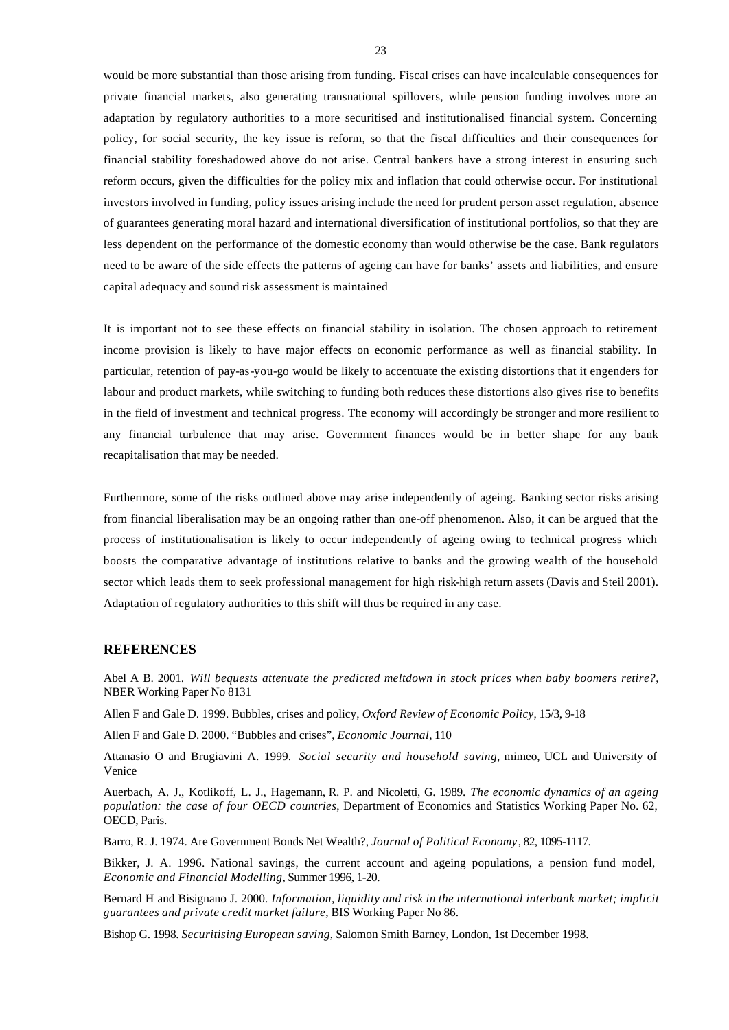would be more substantial than those arising from funding. Fiscal crises can have incalculable consequences for private financial markets, also generating transnational spillovers, while pension funding involves more an adaptation by regulatory authorities to a more securitised and institutionalised financial system. Concerning policy, for social security, the key issue is reform, so that the fiscal difficulties and their consequences for financial stability foreshadowed above do not arise. Central bankers have a strong interest in ensuring such reform occurs, given the difficulties for the policy mix and inflation that could otherwise occur. For institutional investors involved in funding, policy issues arising include the need for prudent person asset regulation, absence of guarantees generating moral hazard and international diversification of institutional portfolios, so that they are less dependent on the performance of the domestic economy than would otherwise be the case. Bank regulators need to be aware of the side effects the patterns of ageing can have for banks' assets and liabilities, and ensure capital adequacy and sound risk assessment is maintained

It is important not to see these effects on financial stability in isolation. The chosen approach to retirement income provision is likely to have major effects on economic performance as well as financial stability. In particular, retention of pay-as-you-go would be likely to accentuate the existing distortions that it engenders for labour and product markets, while switching to funding both reduces these distortions also gives rise to benefits in the field of investment and technical progress. The economy will accordingly be stronger and more resilient to any financial turbulence that may arise. Government finances would be in better shape for any bank recapitalisation that may be needed.

Furthermore, some of the risks outlined above may arise independently of ageing. Banking sector risks arising from financial liberalisation may be an ongoing rather than one-off phenomenon. Also, it can be argued that the process of institutionalisation is likely to occur independently of ageing owing to technical progress which boosts the comparative advantage of institutions relative to banks and the growing wealth of the household sector which leads them to seek professional management for high risk-high return assets (Davis and Steil 2001). Adaptation of regulatory authorities to this shift will thus be required in any case.

#### **REFERENCES**

Abel A B. 2001. *Will bequests attenuate the predicted meltdown in stock prices when baby boomers retire?*, NBER Working Paper No 8131

Allen F and Gale D. 1999. Bubbles, crises and policy, *Oxford Review of Economic Policy*, 15/3, 9-18

Allen F and Gale D. 2000. "Bubbles and crises", *Economic Journal*, 110

Attanasio O and Brugiavini A. 1999. *Social security and household saving*, mimeo, UCL and University of Venice

Auerbach, A. J., Kotlikoff, L. J., Hagemann, R. P. and Nicoletti, G. 1989. *The economic dynamics of an ageing population: the case of four OECD countries*, Department of Economics and Statistics Working Paper No. 62, OECD, Paris.

Barro, R. J. 1974. Are Government Bonds Net Wealth?, *Journal of Political Economy*, 82, 1095-1117.

Bikker, J. A. 1996. National savings, the current account and ageing populations, a pension fund model, *Economic and Financial Modelling*, Summer 1996, 1-20.

Bernard H and Bisignano J. 2000. *Information, liquidity and risk in the international interbank market; implicit guarantees and private credit market failure*, BIS Working Paper No 86.

Bishop G. 1998. *Securitising European saving*, Salomon Smith Barney, London, 1st December 1998.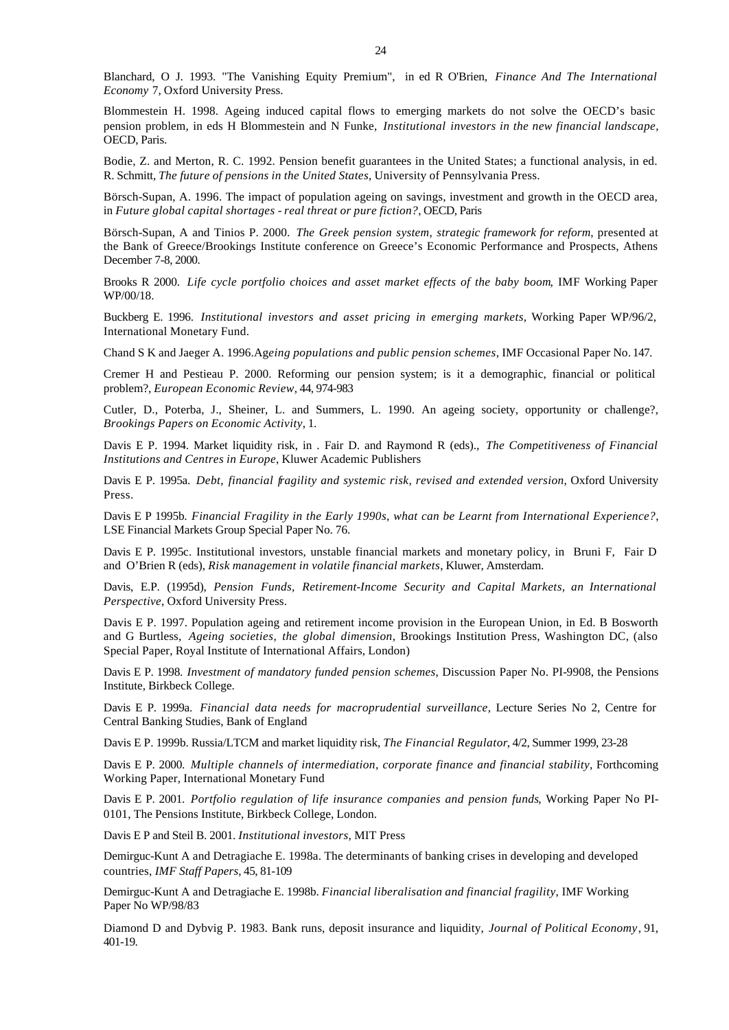Blanchard, O J. 1993. "The Vanishing Equity Premium", in ed R O'Brien, *Finance And The International Economy* 7, Oxford University Press.

Blommestein H. 1998. Ageing induced capital flows to emerging markets do not solve the OECD's basic pension problem, in eds H Blommestein and N Funke, *Institutional investors in the new financial landscape*, OECD, Paris.

Bodie, Z. and Merton, R. C. 1992. Pension benefit guarantees in the United States; a functional analysis, in ed. R. Schmitt, *The future of pensions in the United States*, University of Pennsylvania Press.

Börsch-Supan, A. 1996. The impact of population ageing on savings, investment and growth in the OECD area, in *Future global capital shortages - real threat or pure fiction?*, OECD, Paris

Börsch-Supan, A and Tinios P. 2000. *The Greek pension system, strategic framework for reform*, presented at the Bank of Greece/Brookings Institute conference on Greece's Economic Performance and Prospects, Athens December 7-8, 2000.

Brooks R 2000. *Life cycle portfolio choices and asset market effects of the baby boom*, IMF Working Paper WP/00/18.

Buckberg E. 1996. *Institutional investors and asset pricing in emerging markets*, Working Paper WP/96/2, International Monetary Fund.

Chand S K and Jaeger A. 1996.Ag*eing populations and public pension schemes*, IMF Occasional Paper No. 147.

Cremer H and Pestieau P. 2000. Reforming our pension system; is it a demographic, financial or political problem?, *European Economic Review*, 44, 974-983

Cutler, D., Poterba, J., Sheiner, L. and Summers, L. 1990. An ageing society, opportunity or challenge?, *Brookings Papers on Economic Activity*, 1.

Davis E P. 1994. Market liquidity risk, in . Fair D. and Raymond R (eds)., *The Competitiveness of Financial Institutions and Centres in Europe*, Kluwer Academic Publishers

Davis E P. 1995a. *Debt, financial fragility and systemic risk, revised and extended version*, Oxford University Press.

Davis E P 1995b. *Financial Fragility in the Early 1990s, what can be Learnt from International Experience?*, LSE Financial Markets Group Special Paper No. 76.

Davis E P. 1995c. Institutional investors, unstable financial markets and monetary policy, in Bruni F, Fair D and O'Brien R (eds), *Risk management in volatile financial markets*, Kluwer, Amsterdam.

Davis, E.P. (1995d), *Pension Funds, Retirement-Income Security and Capital Markets, an International Perspective*, Oxford University Press.

Davis E P. 1997. Population ageing and retirement income provision in the European Union, in Ed. B Bosworth and G Burtless, *Ageing societies, the global dimension*, Brookings Institution Press, Washington DC, (also Special Paper, Royal Institute of International Affairs, London)

Davis E P. 1998. *Investment of mandatory funded pension schemes*, Discussion Paper No. PI-9908, the Pensions Institute, Birkbeck College.

Davis E P. 1999a. *Financial data needs for macroprudential surveillance*, Lecture Series No 2, Centre for Central Banking Studies, Bank of England

Davis E P. 1999b. Russia/LTCM and market liquidity risk, *The Financial Regulator*, 4/2, Summer 1999, 23-28

Davis E P. 2000. *Multiple channels of intermediation, corporate finance and financial stability*, Forthcoming Working Paper, International Monetary Fund

Davis E P. 2001. *Portfolio regulation of life insurance companies and pension funds*, Working Paper No PI-0101, The Pensions Institute, Birkbeck College, London.

Davis E P and Steil B. 2001. *Institutional investors*, MIT Press

Demirguc-Kunt A and Detragiache E. 1998a. The determinants of banking crises in developing and developed countries, *IMF Staff Papers*, 45, 81-109

Demirguc-Kunt A and Detragiache E. 1998b. *Financial liberalisation and financial fragility*, IMF Working Paper No WP/98/83

Diamond D and Dybvig P. 1983. Bank runs, deposit insurance and liquidity, *Journal of Political Economy*, 91, 401-19.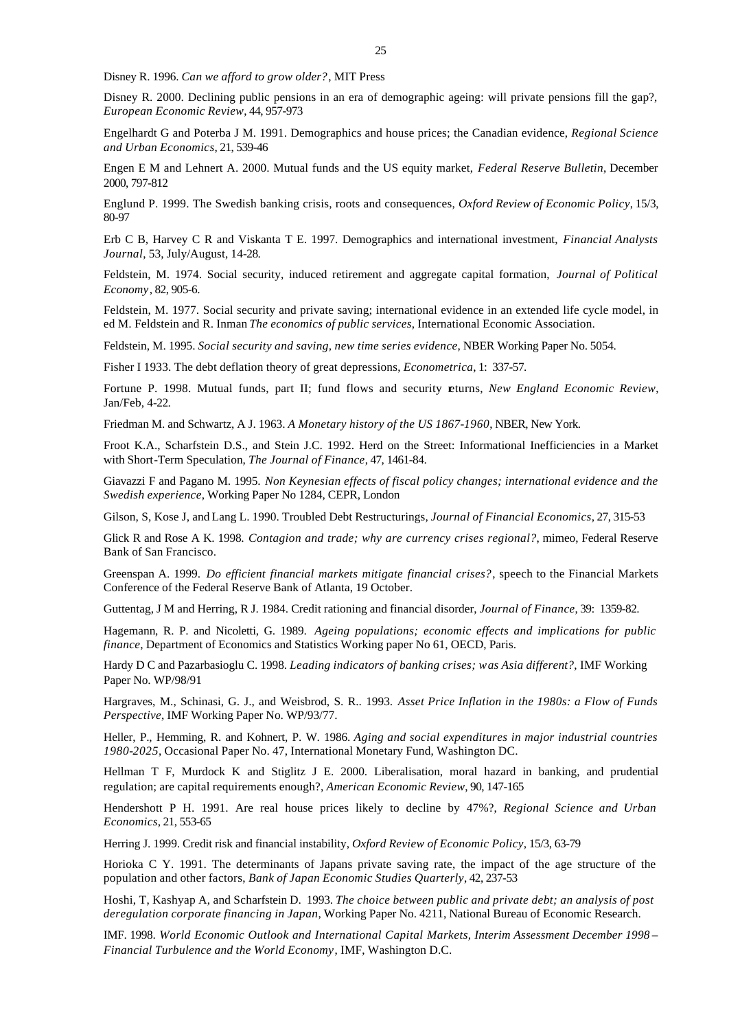Disney R. 1996. *Can we afford to grow older?*, MIT Press

Disney R. 2000. Declining public pensions in an era of demographic ageing: will private pensions fill the gap?, *European Economic Review*, 44, 957-973

Engelhardt G and Poterba J M. 1991. Demographics and house prices; the Canadian evidence, *Regional Science and Urban Economics*, 21, 539-46

Engen E M and Lehnert A. 2000. Mutual funds and the US equity market, *Federal Reserve Bulletin*, December 2000, 797-812

Englund P. 1999. The Swedish banking crisis, roots and consequences, *Oxford Review of Economic Policy*, 15/3, 80-97

Erb C B, Harvey C R and Viskanta T E. 1997. Demographics and international investment, *Financial Analysts Journal*, 53, July/August, 14-28.

Feldstein, M. 1974. Social security, induced retirement and aggregate capital formation, *Journal of Political Economy*, 82, 905-6.

Feldstein, M. 1977. Social security and private saving; international evidence in an extended life cycle model, in ed M. Feldstein and R. Inman *The economics of public services*, International Economic Association.

Feldstein, M. 1995. *Social security and saving, new time series evidence*, NBER Working Paper No. 5054.

Fisher I 1933. The debt deflation theory of great depressions, *Econometrica*, 1: 337-57.

Fortune P. 1998. Mutual funds, part II; fund flows and security returns, *New England Economic Review*, Jan/Feb, 4-22.

Friedman M. and Schwartz, A J. 1963. *A Monetary history of the US 1867-1960*, NBER, New York.

Froot K.A., Scharfstein D.S., and Stein J.C. 1992. Herd on the Street: Informational Inefficiencies in a Market with Short-Term Speculation, *The Journal of Finance*, 47, 1461-84.

Giavazzi F and Pagano M. 1995. *Non Keynesian effects of fiscal policy changes; international evidence and the Swedish experience*, Working Paper No 1284, CEPR, London

Gilson, S, Kose J, and Lang L. 1990. Troubled Debt Restructurings, *Journal of Financial Economics*, 27, 315-53

Glick R and Rose A K. 1998. *Contagion and trade; why are currency crises regional?*, mimeo, Federal Reserve Bank of San Francisco.

Greenspan A. 1999. *Do efficient financial markets mitigate financial crises?*, speech to the Financial Markets Conference of the Federal Reserve Bank of Atlanta, 19 October.

Guttentag, J M and Herring, R J. 1984. Credit rationing and financial disorder, *Journal of Finance*, 39: 1359-82.

Hagemann, R. P. and Nicoletti, G. 1989. *Ageing populations; economic effects and implications for public finance*, Department of Economics and Statistics Working paper No 61, OECD, Paris.

Hardy D C and Pazarbasioglu C. 1998. *Leading indicators of banking crises; was Asia different?*, IMF Working Paper No. WP/98/91

Hargraves, M., Schinasi, G. J., and Weisbrod, S. R.. 1993. *Asset Price Inflation in the 1980s: a Flow of Funds Perspective*, IMF Working Paper No. WP/93/77.

Heller, P., Hemming, R. and Kohnert, P. W. 1986. *Aging and social expenditures in major industrial countries 1980-2025*, Occasional Paper No. 47, International Monetary Fund, Washington DC.

Hellman T F, Murdock K and Stiglitz J E. 2000. Liberalisation, moral hazard in banking, and prudential regulation; are capital requirements enough?, *American Economic Review*, 90, 147-165

Hendershott P H. 1991. Are real house prices likely to decline by 47%?, *Regional Science and Urban Economics*, 21, 553-65

Herring J. 1999. Credit risk and financial instability, *Oxford Review of Economic Policy*, 15/3, 63-79

Horioka C Y. 1991. The determinants of Japans private saving rate, the impact of the age structure of the population and other factors, *Bank of Japan Economic Studies Quarterly*, 42, 237-53

Hoshi, T, Kashyap A, and Scharfstein D. 1993. *The choice between public and private debt; an analysis of post deregulation corporate financing in Japan*, Working Paper No. 4211, National Bureau of Economic Research.

IMF. 1998. *World Economic Outlook and International Capital Markets, Interim Assessment December 1998 – Financial Turbulence and the World Economy*, IMF, Washington D.C.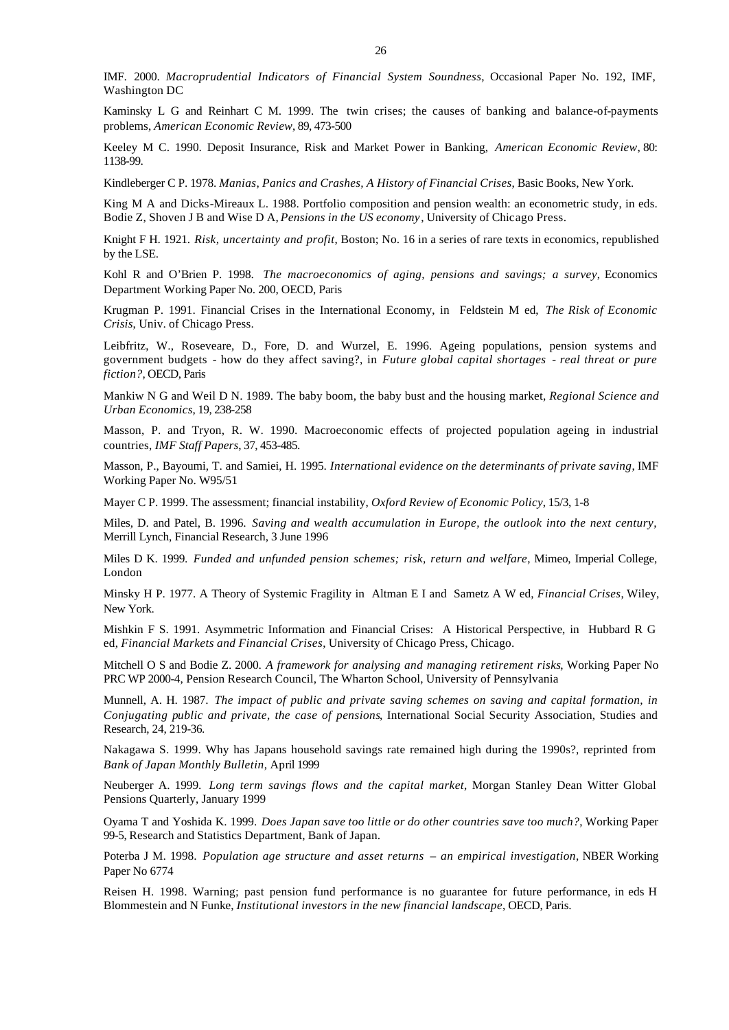IMF. 2000. *Macroprudential Indicators of Financial System Soundness*, Occasional Paper No. 192, IMF, Washington DC

Kaminsky L G and Reinhart C M. 1999. The twin crises; the causes of banking and balance-of-payments problems, *American Economic Review*, 89, 473-500

Keeley M C. 1990. Deposit Insurance, Risk and Market Power in Banking, *American Economic Review*, 80: 1138-99.

Kindleberger C P. 1978. *Manias, Panics and Crashes, A History of Financial Crises*, Basic Books, New York.

King M A and Dicks-Mireaux L. 1988. Portfolio composition and pension wealth: an econometric study, in eds. Bodie Z, Shoven J B and Wise D A, *Pensions in the US economy*, University of Chicago Press.

Knight F H. 1921. *Risk, uncertainty and profit*, Boston; No. 16 in a series of rare texts in economics, republished by the LSE.

Kohl R and O'Brien P. 1998. *The macroeconomics of aging, pensions and savings; a survey*, Economics Department Working Paper No. 200, OECD, Paris

Krugman P. 1991. Financial Crises in the International Economy, in Feldstein M ed, *The Risk of Economic Crisis*, Univ. of Chicago Press.

Leibfritz, W., Roseveare, D., Fore, D. and Wurzel, E. 1996. Ageing populations, pension systems and government budgets - how do they affect saving?, in *Future global capital shortages - real threat or pure fiction?,* OECD, Paris

Mankiw N G and Weil D N. 1989. The baby boom, the baby bust and the housing market, *Regional Science and Urban Economics*, 19, 238-258

Masson, P. and Tryon, R. W. 1990. Macroeconomic effects of projected population ageing in industrial countries, *IMF Staff Papers*, 37, 453-485.

Masson, P., Bayoumi, T. and Samiei, H. 1995. *International evidence on the determinants of private saving*, IMF Working Paper No. W95/51

Mayer C P. 1999. The assessment; financial instability, *Oxford Review of Economic Policy*, 15/3, 1-8

Miles, D. and Patel, B. 1996. *Saving and wealth accumulation in Europe, the outlook into the next century,*  Merrill Lynch, Financial Research, 3 June 1996

Miles D K. 1999. *Funded and unfunded pension schemes; risk, return and welfare*, Mimeo, Imperial College, London

Minsky H P. 1977. A Theory of Systemic Fragility in Altman E I and Sametz A W ed, *Financial Crises*, Wiley, New York.

Mishkin F S. 1991. Asymmetric Information and Financial Crises: A Historical Perspective, in Hubbard R G ed, *Financial Markets and Financial Crises*, University of Chicago Press, Chicago.

Mitchell O S and Bodie Z. 2000. *A framework for analysing and managing retirement risks*, Working Paper No PRC WP 2000-4, Pension Research Council, The Wharton School, University of Pennsylvania

Munnell, A. H. 1987. *The impact of public and private saving schemes on saving and capital formation, in Conjugating public and private, the case of pensions*, International Social Security Association, Studies and Research, 24, 219-36.

Nakagawa S. 1999. Why has Japans household savings rate remained high during the 1990s?, reprinted from *Bank of Japan Monthly Bulletin*, April 1999

Neuberger A. 1999. *Long term savings flows and the capital market*, Morgan Stanley Dean Witter Global Pensions Quarterly, January 1999

Oyama T and Yoshida K. 1999. *Does Japan save too little or do other countries save too much?*, Working Paper 99-5, Research and Statistics Department, Bank of Japan.

Poterba J M. 1998. *Population age structure and asset returns – an empirical investigation*, NBER Working Paper No 6774

Reisen H. 1998. Warning; past pension fund performance is no guarantee for future performance, in eds H Blommestein and N Funke, *Institutional investors in the new financial landscape*, OECD, Paris.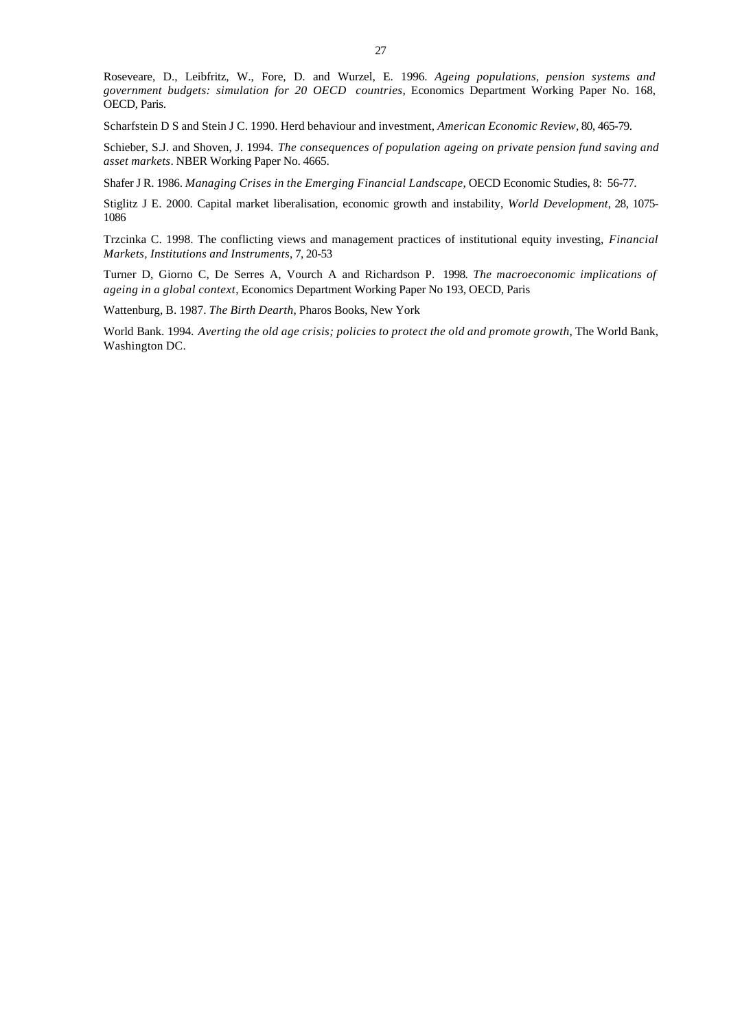Roseveare, D., Leibfritz, W., Fore, D. and Wurzel, E. 1996. *Ageing populations, pension systems and government budgets: simulation for 20 OECD countries*, Economics Department Working Paper No. 168, OECD, Paris.

Scharfstein D S and Stein J C. 1990. Herd behaviour and investment, *American Economic Review*, 80, 465-79.

Schieber, S.J. and Shoven, J. 1994. *The consequences of population ageing on private pension fund saving and asset markets*. NBER Working Paper No. 4665.

Shafer J R. 1986. *Managing Crises in the Emerging Financial Landscape*, OECD Economic Studies, 8: 56-77.

Stiglitz J E. 2000. Capital market liberalisation, economic growth and instability, *World Development*, 28, 1075- 1086

Trzcinka C. 1998. The conflicting views and management practices of institutional equity investing, *Financial Markets, Institutions and Instruments*, 7, 20-53

Turner D, Giorno C, De Serres A, Vourch A and Richardson P. 1998. *The macroeconomic implications of ageing in a global context*, Economics Department Working Paper No 193, OECD, Paris

Wattenburg, B. 1987. *The Birth Dearth*, Pharos Books, New York

World Bank. 1994. *Averting the old age crisis; policies to protect the old and promote growth*, The World Bank, Washington DC.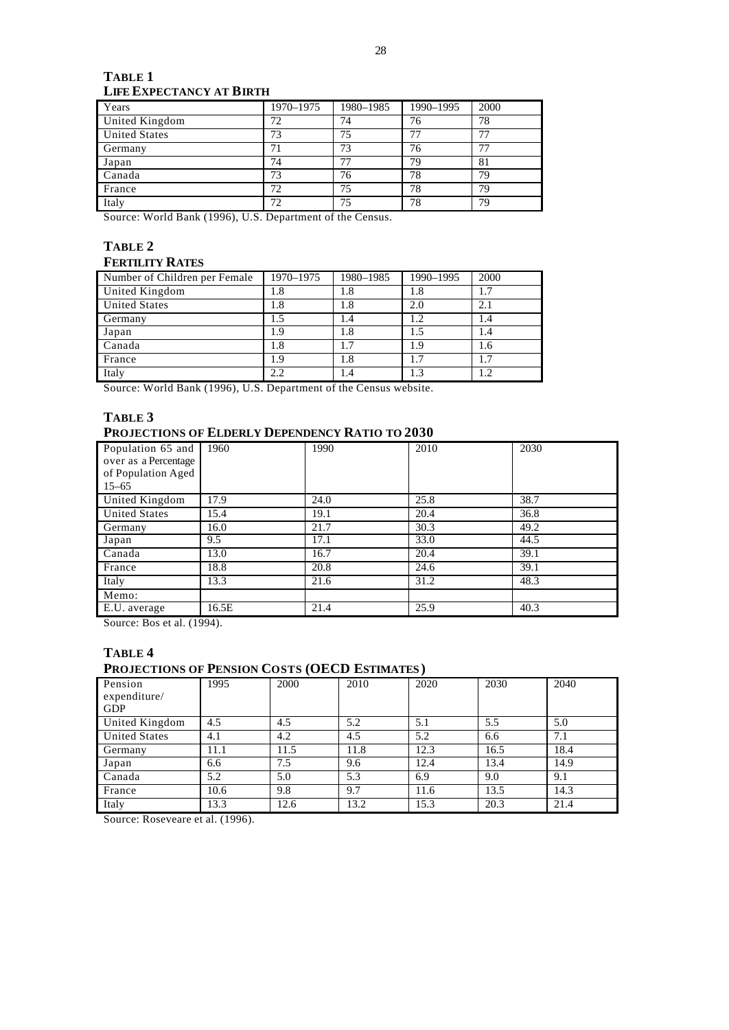# **TABLE 1 LIFE EXPECTANCY AT BIRTH**

| Years                | 1970–1975 | 1980-1985 | 1990-1995 | 2000 |
|----------------------|-----------|-----------|-----------|------|
| United Kingdom       | 72        | 74        | 76        | 78   |
| <b>United States</b> | 73        | 75        | 77        | 77   |
| Germany              |           | 73        | 76        | 77   |
| Japan                | 74        | רי        | 79        | 81   |
| Canada               | 73        | 76        | 78        | 79   |
| France               | 72        | 75        | 78        | 79   |
| Italy                | 72        | 75        | 78        | 79   |

Source: World Bank (1996), U.S. Department of the Census.

# **TABLE 2**

# **FERTILITY RATES**

| Number of Children per Female | 1970-1975 | 1980-1985 | 1990-1995 | 2000 |
|-------------------------------|-----------|-----------|-----------|------|
| United Kingdom                | 1.8       | 1.8       | 1.8       | 1.7  |
| <b>United States</b>          | 1.8       | 1.8       | 2.0       | 2.1  |
| Germany                       | 1.5       | 1.4       | 1.2       | 1.4  |
| Japan                         | 1.9       | 1.8       | 1.5       | 1.4  |
| Canada                        | 1.8       | 1.7       | 1.9       | 1.6  |
| France                        | 1.9       | 1.8       | 1.7       |      |
| Italy                         | 2.2       | 1.4       | 1.3       | 1.2  |

Source: World Bank (1996), U.S. Department of the Census website.

# **TABLE 3**

## **PROJECTIONS OF ELDERLY DEPENDENCY RATIO TO 2030**

| Population 65 and<br>over as a Percentage<br>of Population Aged<br>$15 - 65$ | 1960  | 1990 | 2010 | 2030 |
|------------------------------------------------------------------------------|-------|------|------|------|
| United Kingdom                                                               | 17.9  | 24.0 | 25.8 | 38.7 |
| <b>United States</b>                                                         | 15.4  | 19.1 | 20.4 | 36.8 |
| Germany                                                                      | 16.0  | 21.7 | 30.3 | 49.2 |
| Japan                                                                        | 9.5   | 17.1 | 33.0 | 44.5 |
| Canada                                                                       | 13.0  | 16.7 | 20.4 | 39.1 |
| France                                                                       | 18.8  | 20.8 | 24.6 | 39.1 |
| Italy                                                                        | 13.3  | 21.6 | 31.2 | 48.3 |
| Memo:                                                                        |       |      |      |      |
| E.U. average                                                                 | 16.5E | 21.4 | 25.9 | 40.3 |

Source: Bos et al. (1994).

# **TABLE 4**

# **PROJECTIONS OF PENSION COSTS (OECD ESTIMATES )**

| Pension<br>expenditure/<br><b>GDP</b> | 1995 | 2000 | 2010 | 2020 | 2030 | 2040 |
|---------------------------------------|------|------|------|------|------|------|
| United Kingdom                        | 4.5  | 4.5  | 5.2  | 5.1  | 5.5  | 5.0  |
| <b>United States</b>                  | 4.1  | 4.2  | 4.5  | 5.2  | 6.6  | 7.1  |
| Germany                               | 11.1 | 11.5 | 11.8 | 12.3 | 16.5 | 18.4 |
| Japan                                 | 6.6  | 7.5  | 9.6  | 12.4 | 13.4 | 14.9 |
| Canada                                | 5.2  | 5.0  | 5.3  | 6.9  | 9.0  | 9.1  |
| France                                | 10.6 | 9.8  | 9.7  | 11.6 | 13.5 | 14.3 |
| Italy                                 | 13.3 | 12.6 | 13.2 | 15.3 | 20.3 | 21.4 |

Source: Roseveare et al. (1996).